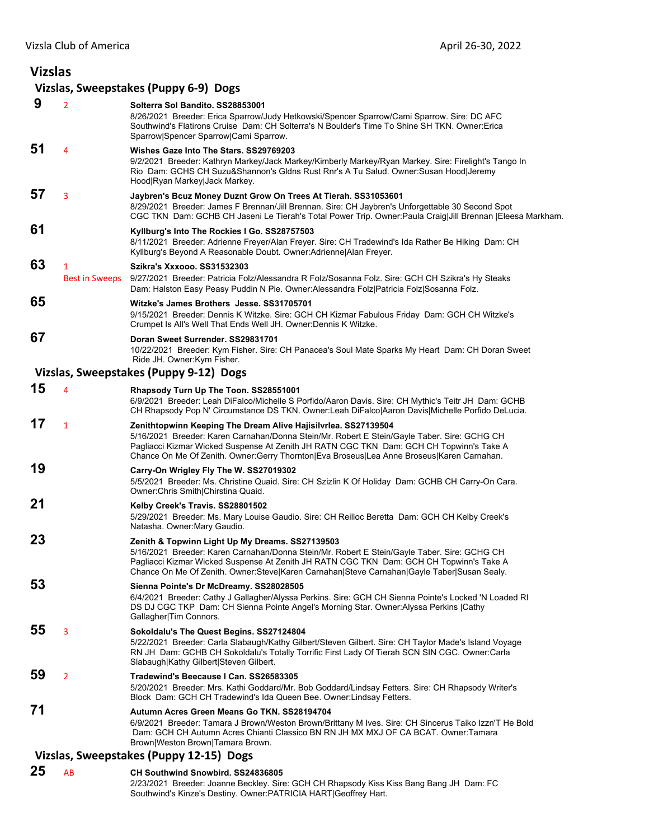| <b>Vizslas</b> |                       |                                                                                                                                                                                                                                                                                                                                                       |
|----------------|-----------------------|-------------------------------------------------------------------------------------------------------------------------------------------------------------------------------------------------------------------------------------------------------------------------------------------------------------------------------------------------------|
|                |                       | Vizslas, Sweepstakes (Puppy 6-9) Dogs                                                                                                                                                                                                                                                                                                                 |
| 9              | $\overline{2}$        | Solterra Sol Bandito, SS28853001<br>8/26/2021 Breeder: Erica Sparrow/Judy Hetkowski/Spencer Sparrow/Cami Sparrow. Sire: DC AFC<br>Southwind's Flatirons Cruise Dam: CH Solterra's N Boulder's Time To Shine SH TKN. Owner: Erica<br>Sparrow Spencer Sparrow Cami Sparrow.                                                                             |
| 51             | $\overline{4}$        | Wishes Gaze Into The Stars, SS29769203<br>9/2/2021 Breeder: Kathryn Markey/Jack Markey/Kimberly Markey/Ryan Markey. Sire: Firelight's Tango In<br>Rio Dam: GCHS CH Suzu&Shannon's Gldns Rust Rnr's A Tu Salud. Owner:Susan Hood Jeremy<br>Hood Ryan Markey Jack Markey.                                                                               |
| 57             | 3                     | Jaybren's Bcuz Money Duznt Grow On Trees At Tierah. SS31053601<br>8/29/2021 Breeder: James F Brennan/Jill Brennan. Sire: CH Jaybren's Unforgettable 30 Second Spot<br>CGC TKN Dam: GCHB CH Jaseni Le Tierah's Total Power Trip. Owner:Paula Craig Jill Brennan  Eleesa Markham.                                                                       |
| 61             |                       | Kyllburg's Into The Rockies I Go. SS28757503<br>8/11/2021 Breeder: Adrienne Freyer/Alan Freyer. Sire: CH Tradewind's Ida Rather Be Hiking Dam: CH<br>Kyllburg's Beyond A Reasonable Doubt. Owner: Adrienne Alan Freyer.                                                                                                                               |
| 63             | $\mathbf{1}$          | <b>Szikra's Xxxooo. SS31532303</b>                                                                                                                                                                                                                                                                                                                    |
|                | <b>Best in Sweeps</b> | 9/27/2021 Breeder: Patricia Folz/Alessandra R Folz/Sosanna Folz. Sire: GCH CH Szikra's Hy Steaks<br>Dam: Halston Easy Peasy Puddin N Pie. Owner: Alessandra Folz   Patricia Folz   Sosanna Folz.                                                                                                                                                      |
| 65             |                       | Witzke's James Brothers Jesse. SS31705701<br>9/15/2021 Breeder: Dennis K Witzke. Sire: GCH CH Kizmar Fabulous Friday Dam: GCH CH Witzke's<br>Crumpet Is All's Well That Ends Well JH. Owner:Dennis K Witzke.                                                                                                                                          |
| 67             |                       | Doran Sweet Surrender, SS29831701                                                                                                                                                                                                                                                                                                                     |
|                |                       | 10/22/2021 Breeder: Kym Fisher. Sire: CH Panacea's Soul Mate Sparks My Heart Dam: CH Doran Sweet<br>Ride JH. Owner: Kym Fisher.                                                                                                                                                                                                                       |
|                |                       | Vizslas, Sweepstakes (Puppy 9-12) Dogs                                                                                                                                                                                                                                                                                                                |
| 15             | 4                     | Rhapsody Turn Up The Toon. SS28551001<br>6/9/2021 Breeder: Leah DiFalco/Michelle S Porfido/Aaron Davis. Sire: CH Mythic's Teitr JH Dam: GCHB<br>CH Rhapsody Pop N' Circumstance DS TKN. Owner:Leah DiFalco Aaron Davis Michelle Porfido DeLucia.                                                                                                      |
| 17             | $\mathbf{1}$          | Zenithtopwinn Keeping The Dream Alive Hajisilvrlea. SS27139504<br>5/16/2021 Breeder: Karen Carnahan/Donna Stein/Mr. Robert E Stein/Gayle Taber. Sire: GCHG CH<br>Pagliacci Kizmar Wicked Suspense At Zenith JH RATN CGC TKN Dam: GCH CH Topwinn's Take A<br>Chance On Me Of Zenith. Owner:Gerry Thornton Eva Broseus Lea Anne Broseus Karen Carnahan. |
| 19             |                       | Carry-On Wrigley Fly The W. SS27019302<br>5/5/2021 Breeder: Ms. Christine Quaid. Sire: CH Szizlin K Of Holiday Dam: GCHB CH Carry-On Cara.<br>Owner: Chris Smith Chirstina Quaid.                                                                                                                                                                     |
| 21             |                       | Kelby Creek's Travis. SS28801502<br>5/29/2021 Breeder: Ms. Mary Louise Gaudio. Sire: CH Reilloc Beretta Dam: GCH CH Kelby Creek's<br>Natasha. Owner:Mary Gaudio.                                                                                                                                                                                      |
| 23             |                       | Zenith & Topwinn Light Up My Dreams. SS27139503<br>5/16/2021 Breeder: Karen Carnahan/Donna Stein/Mr. Robert E Stein/Gayle Taber. Sire: GCHG CH<br>Pagliacci Kizmar Wicked Suspense At Zenith JH RATN CGC TKN Dam: GCH CH Topwinn's Take A<br>Chance On Me Of Zenith. Owner:Steve Karen Carnahan Steve Carnahan Gayle Taber Susan Sealy.               |
| 53             |                       | Sienna Pointe's Dr McDreamy. SS28028505<br>6/4/2021 Breeder: Cathy J Gallagher/Alyssa Perkins. Sire: GCH CH Sienna Pointe's Locked 'N Loaded RI<br>DS DJ CGC TKP Dam: CH Sienna Pointe Angel's Morning Star. Owner: Alyssa Perkins   Cathy<br>Gallagher Tim Connors.                                                                                  |
| 55             | 3                     | Sokoldalu's The Quest Begins. SS27124804<br>5/22/2021 Breeder: Carla Slabaugh/Kathy Gilbert/Steven Gilbert. Sire: CH Taylor Made's Island Voyage<br>RN JH_Dam: GCHB CH Sokoldalu's Totally Torrific First Lady Of Tierah SCN SIN CGC. Owner:Carla<br>Slabaugh Kathy Gilbert Steven Gilbert.                                                           |
| 59             | $\overline{2}$        | Tradewind's Beecause I Can. SS26583305<br>5/20/2021 Breeder: Mrs. Kathi Goddard/Mr. Bob Goddard/Lindsay Fetters. Sire: CH Rhapsody Writer's<br>Block Dam: GCH CH Tradewind's Ida Queen Bee. Owner:Lindsay Fetters.                                                                                                                                    |
| 71             |                       | Autumn Acres Green Means Go TKN. SS28194704<br>6/9/2021 Breeder: Tamara J Brown/Weston Brown/Brittany M Ives. Sire: CH Sincerus Taiko Izzn'T He Bold<br>Dam: GCH CH Autumn Acres Chianti Classico BN RN JH MX MXJ OF CA BCAT. Owner:Tamara<br>Brown Weston Brown Tamara Brown.<br>Vizslas, Sweepstakes (Puppy 12-15) Dogs                             |
|                |                       |                                                                                                                                                                                                                                                                                                                                                       |

## **25** AB **CH Southwind Snowbird. SS24836805**

2/23/2021 Breeder: Joanne Beckley. Sire: GCH CH Rhapsody Kiss Kiss Bang Bang JH Dam: FC Southwind's Kinze's Destiny. Owner:PATRICIA HART|Geoffrey Hart.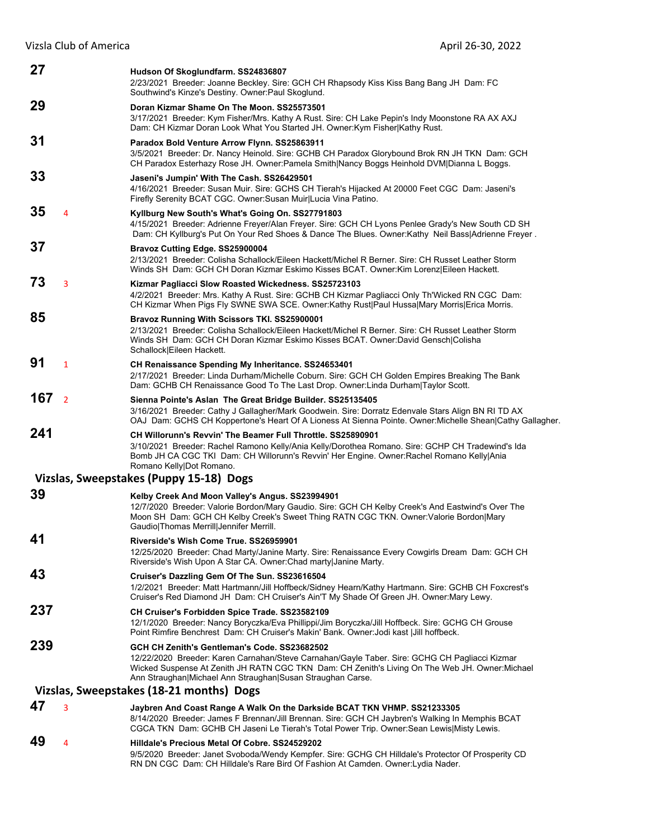| 27  |                | Hudson Of Skoglundfarm. SS24836807<br>2/23/2021 Breeder: Joanne Beckley. Sire: GCH CH Rhapsody Kiss Kiss Bang Bang JH Dam: FC<br>Southwind's Kinze's Destiny. Owner: Paul Skoglund.                                                                                                                            |
|-----|----------------|----------------------------------------------------------------------------------------------------------------------------------------------------------------------------------------------------------------------------------------------------------------------------------------------------------------|
| 29  |                | Doran Kizmar Shame On The Moon, SS25573501                                                                                                                                                                                                                                                                     |
|     |                | 3/17/2021 Breeder: Kym Fisher/Mrs. Kathy A Rust. Sire: CH Lake Pepin's Indy Moonstone RA AX AXJ<br>Dam: CH Kizmar Doran Look What You Started JH. Owner: Kym Fisher Kathy Rust.                                                                                                                                |
| 31  |                | Paradox Bold Venture Arrow Flynn. SS25863911<br>3/5/2021 Breeder: Dr. Nancy Heinold. Sire: GCHB CH Paradox Glorybound Brok RN JH TKN Dam: GCH<br>CH Paradox Esterhazy Rose JH. Owner:Pamela Smith Nancy Boggs Heinhold DVM Dianna L Boggs.                                                                     |
| 33  |                | Jaseni's Jumpin' With The Cash. SS26429501<br>4/16/2021 Breeder: Susan Muir. Sire: GCHS CH Tierah's Hijacked At 20000 Feet CGC Dam: Jaseni's<br>Firefly Serenity BCAT CGC. Owner: Susan Muir Lucia Vina Patino.                                                                                                |
| 35  | $\overline{4}$ | Kyllburg New South's What's Going On. SS27791803<br>4/15/2021 Breeder: Adrienne Freyer/Alan Freyer. Sire: GCH CH Lyons Penlee Grady's New South CD SH<br>Dam: CH Kyllburg's Put On Your Red Shoes & Dance The Blues. Owner: Kathy Neil Bass Adrienne Freyer.                                                   |
| 37  |                | Bravoz Cutting Edge. SS25900004<br>2/13/2021 Breeder: Colisha Schallock/Eileen Hackett/Michel R Berner. Sire: CH Russet Leather Storm<br>Winds SH Dam: GCH CH Doran Kizmar Eskimo Kisses BCAT. Owner: Kim Lorenz Eileen Hackett.                                                                               |
| 73  | 3              | Kizmar Pagliacci Slow Roasted Wickedness. SS25723103<br>4/2/2021 Breeder: Mrs. Kathy A Rust. Sire: GCHB CH Kizmar Pagliacci Only Th'Wicked RN CGC Dam:<br>CH Kizmar When Pigs Fly SWNE SWA SCE. Owner:Kathy Rust Paul Hussa Mary Morris Erica Morris.                                                          |
| 85  |                | Bravoz Running With Scissors TKI. SS25900001<br>2/13/2021 Breeder: Colisha Schallock/Eileen Hackett/Michel R Berner. Sire: CH Russet Leather Storm<br>Winds SH Dam: GCH CH Doran Kizmar Eskimo Kisses BCAT. Owner:David Gensch Colisha<br>Schallock Eileen Hackett.                                            |
| 91  | $\mathbf{1}$   | CH Renaissance Spending My Inheritance. SS24653401<br>2/17/2021 Breeder: Linda Durham/Michelle Coburn. Sire: GCH CH Golden Empires Breaking The Bank<br>Dam: GCHB CH Renaissance Good To The Last Drop. Owner: Linda Durham Taylor Scott.                                                                      |
| 167 | $\overline{2}$ | Sienna Pointe's Aslan The Great Bridge Builder. SS25135405<br>3/16/2021 Breeder: Cathy J Gallagher/Mark Goodwein. Sire: Dorratz Edenvale Stars Align BN RI TD AX<br>OAJ Dam: GCHS CH Koppertone's Heart Of A Lioness At Sienna Pointe. Owner: Michelle Shean Cathy Gallagher.                                  |
| 241 |                | <b>CH Willorunn's Revvin' The Beamer Full Throttle, SS25890901</b><br>3/10/2021 Breeder: Rachel Ramono Kelly/Ania Kelly/Dorothea Romano. Sire: GCHP CH Tradewind's Ida<br>Bomb JH CA CGC TKI Dam: CH Willorunn's Revvin' Her Engine. Owner: Rachel Romano Kelly Ania<br>Romano Kelly Dot Romano.               |
|     |                | Vizslas, Sweepstakes (Puppy 15-18) Dogs                                                                                                                                                                                                                                                                        |
| 39  |                |                                                                                                                                                                                                                                                                                                                |
|     |                | Kelby Creek And Moon Valley's Angus. SS23994901<br>12/7/2020 Breeder: Valorie Bordon/Mary Gaudio. Sire: GCH CH Kelby Creek's And Eastwind's Over The<br>Moon SH Dam: GCH CH Kelby Creek's Sweet Thing RATN CGC TKN. Owner: Valorie Bordon Mary<br>Gaudio Thomas Merrill Jennifer Merrill.                      |
| 41  |                | Riverside's Wish Come True. SS26959901<br>12/25/2020 Breeder: Chad Marty/Janine Marty. Sire: Renaissance Every Cowgirls Dream Dam: GCH CH<br>Riverside's Wish Upon A Star CA. Owner: Chad marty Janine Marty.                                                                                                  |
| 43  |                | Cruiser's Dazzling Gem Of The Sun. SS23616504<br>1/2/2021 Breeder: Matt Hartmann/Jill Hoffbeck/Sidney Hearn/Kathy Hartmann. Sire: GCHB CH Foxcrest's<br>Cruiser's Red Diamond JH Dam: CH Cruiser's Ain'T My Shade Of Green JH. Owner:Mary Lewy.                                                                |
| 237 |                | CH Cruiser's Forbidden Spice Trade. SS23582109<br>12/1/2020 Breeder: Nancy Boryczka/Eva Phillippi/Jim Boryczka/Jill Hoffbeck. Sire: GCHG CH Grouse<br>Point Rimfire Benchrest Dam: CH Cruiser's Makin' Bank. Owner: Jodi kast   Jill hoffbeck.                                                                 |
| 239 |                | GCH CH Zenith's Gentleman's Code. SS23682502<br>12/22/2020 Breeder: Karen Carnahan/Steve Carnahan/Gayle Taber. Sire: GCHG CH Pagliacci Kizmar<br>Wicked Suspense At Zenith JH RATN CGC TKN Dam: CH Zenith's Living On The Web JH. Owner: Michael<br>Ann Straughan Michael Ann Straughan Susan Straughan Carse. |
|     |                | Vizslas, Sweepstakes (18-21 months) Dogs                                                                                                                                                                                                                                                                       |
| 47  | 3              | Jaybren And Coast Range A Walk On the Darkside BCAT TKN VHMP. SS21233305<br>8/14/2020 Breeder: James F Brennan/Jill Brennan. Sire: GCH CH Jaybren's Walking In Memphis BCAT<br>CGCA TKN Dam: GCHB CH Jaseni Le Tierah's Total Power Trip. Owner: Sean Lewis Misty Lewis.                                       |
| 49  | 4              | Hilldale's Precious Metal Of Cobre. SS24529202<br>9/5/2020 Breeder: Janet Svoboda/Wendy Kempfer. Sire: GCHG CH Hilldale's Protector Of Prosperity CD<br>RN DN CGC Dam: CH Hilldale's Rare Bird Of Fashion At Camden. Owner: Lydia Nader.                                                                       |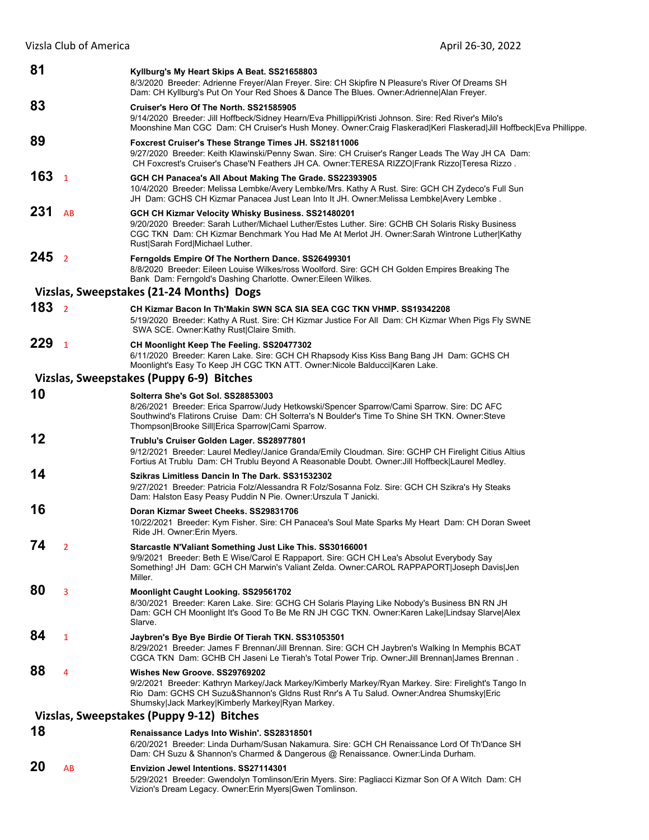| 81               |                | Kyllburg's My Heart Skips A Beat. SS21658803<br>8/3/2020 Breeder: Adrienne Freyer/Alan Freyer. Sire: CH Skipfire N Pleasure's River Of Dreams SH<br>Dam: CH Kyllburg's Put On Your Red Shoes & Dance The Blues. Owner: Adrienne   Alan Freyer.                                            |
|------------------|----------------|-------------------------------------------------------------------------------------------------------------------------------------------------------------------------------------------------------------------------------------------------------------------------------------------|
| 83               |                | Cruiser's Hero Of The North. SS21585905                                                                                                                                                                                                                                                   |
|                  |                | 9/14/2020 Breeder: Jill Hoffbeck/Sidney Hearn/Eva Phillippi/Kristi Johnson. Sire: Red River's Milo's<br>Moonshine Man CGC Dam: CH Cruiser's Hush Money. Owner:Craig Flaskerad Keri Flaskerad Jill Hoffbeck Eva Phillippe.                                                                 |
| 89               |                | <b>Foxcrest Cruiser's These Strange Times JH. SS21811006</b><br>9/27/2020 Breeder: Keith Klawinski/Penny Swan. Sire: CH Cruiser's Ranger Leads The Way JH CA Dam:<br>CH Foxcrest's Cruiser's Chase'N Feathers JH CA. Owner:TERESA RIZZO Frank Rizzo Teresa Rizzo.                         |
| 163 <sub>1</sub> |                | GCH CH Panacea's All About Making The Grade. SS22393905<br>10/4/2020 Breeder: Melissa Lembke/Avery Lembke/Mrs. Kathy A Rust. Sire: GCH CH Zydeco's Full Sun<br>JH Dam: GCHS CH Kizmar Panacea Just Lean Into It JH. Owner: Melissa Lembke Avery Lembke.                                   |
| 231              | AB             | GCH CH Kizmar Velocity Whisky Business. SS21480201<br>9/20/2020 Breeder: Sarah Luther/Michael Luther/Estes Luther. Sire: GCHB CH Solaris Risky Business<br>CGC TKN Dam: CH Kizmar Benchmark You Had Me At Merlot JH. Owner:Sarah Wintrone Luther Kathy<br>Rust Sarah Ford Michael Luther. |
| 245 <sub>2</sub> |                | Ferngolds Empire Of The Northern Dance. SS26499301<br>8/8/2020 Breeder: Eileen Louise Wilkes/ross Woolford. Sire: GCH CH Golden Empires Breaking The<br>Bank Dam: Ferngold's Dashing Charlotte. Owner: Eileen Wilkes.                                                                     |
|                  |                | Vizslas, Sweepstakes (21-24 Months) Dogs                                                                                                                                                                                                                                                  |
| 183 <sub>2</sub> |                | CH Kizmar Bacon In Th'Makin SWN SCA SIA SEA CGC TKN VHMP. SS19342208<br>5/19/2020 Breeder: Kathy A Rust. Sire: CH Kizmar Justice For All Dam: CH Kizmar When Pigs Fly SWNE<br>SWA SCE. Owner:Kathy Rust Claire Smith.                                                                     |
| 229 <sub>1</sub> |                | CH Moonlight Keep The Feeling. SS20477302<br>6/11/2020 Breeder: Karen Lake. Sire: GCH CH Rhapsody Kiss Kiss Bang Bang JH Dam: GCHS CH<br>Moonlight's Easy To Keep JH CGC TKN ATT. Owner: Nicole Balducci Karen Lake.                                                                      |
|                  |                | Vizslas, Sweepstakes (Puppy 6-9) Bitches                                                                                                                                                                                                                                                  |
| 10               |                | Solterra She's Got Sol. SS28853003<br>8/26/2021 Breeder: Erica Sparrow/Judy Hetkowski/Spencer Sparrow/Cami Sparrow. Sire: DC AFC<br>Southwind's Flatirons Cruise Dam: CH Solterra's N Boulder's Time To Shine SH TKN. Owner: Steve<br>Thompson Brooke Sill Erica Sparrow Cami Sparrow.    |
| 12               |                | Trublu's Cruiser Golden Lager. SS28977801<br>9/12/2021 Breeder: Laurel Medley/Janice Granda/Emily Cloudman. Sire: GCHP CH Firelight Citius Altius<br>Fortius At Trublu Dam: CH Trublu Beyond A Reasonable Doubt. Owner: Jill Hoffbeck Laurel Medley.                                      |
| 14               |                | Szikras Limitless Dancin In The Dark. SS31532302<br>9/27/2021 Breeder: Patricia Folz/Alessandra R Folz/Sosanna Folz. Sire: GCH CH Szikra's Hy Steaks<br>Dam: Halston Easy Peasy Puddin N Pie. Owner: Urszula T Janicki.                                                                   |
| 16               |                | Doran Kizmar Sweet Cheeks. SS29831706<br>10/22/2021 Breeder: Kym Fisher. Sire: CH Panacea's Soul Mate Sparks My Heart Dam: CH Doran Sweet<br>Ride JH. Owner:Erin Myers.                                                                                                                   |
| 74               | $\overline{2}$ | Starcastle N'Valiant Something Just Like This. SS30166001<br>9/9/2021 Breeder: Beth E Wise/Carol E Rappaport. Sire: GCH CH Lea's Absolut Everybody Say<br>Something! JH Dam: GCH CH Marwin's Valiant Zelda. Owner:CAROL RAPPAPORT Joseph Davis Jen<br>Miller.                             |
| 80               | 3              | Moonlight Caught Looking. SS29561702<br>8/30/2021 Breeder: Karen Lake. Sire: GCHG CH Solaris Playing Like Nobody's Business BN RN JH<br>Dam: GCH CH Moonlight It's Good To Be Me RN JH CGC TKN. Owner: Karen Lake Lindsay Slarve Alex<br>Slarve.                                          |
| 84               | $\mathbf{1}$   | Jaybren's Bye Bye Birdie Of Tierah TKN. SS31053501<br>8/29/2021 Breeder: James F Brennan/Jill Brennan. Sire: GCH CH Jaybren's Walking In Memphis BCAT<br>CGCA TKN Dam: GCHB CH Jaseni Le Tierah's Total Power Trip. Owner: Jill Brennan James Brennan.                                    |
| 88               | 4              | Wishes New Groove, SS29769202<br>9/2/2021 Breeder: Kathryn Markey/Jack Markey/Kimberly Markey/Ryan Markey. Sire: Firelight's Tango In<br>Rio Dam: GCHS CH Suzu&Shannon's Gldns Rust Rnr's A Tu Salud. Owner:Andrea Shumsky Eric<br>Shumsky Jack Markey Kimberly Markey Ryan Markey.       |
|                  |                | Vizslas, Sweepstakes (Puppy 9-12) Bitches                                                                                                                                                                                                                                                 |
| 18               |                | Renaissance Ladys Into Wishin'. SS28318501<br>6/20/2021 Breeder: Linda Durham/Susan Nakamura. Sire: GCH CH Renaissance Lord Of Th'Dance SH<br>Dam: CH Suzu & Shannon's Charmed & Dangerous @ Renaissance. Owner: Linda Durham.                                                            |
| 20               | AB             | <b>Envizion Jewel Intentions. SS27114301</b><br>5/29/2021 Breeder: Gwendolyn Tomlinson/Erin Myers. Sire: Pagliacci Kizmar Son Of A Witch Dam: CH                                                                                                                                          |

Vizion's Dream Legacy. Owner:Erin Myers|Gwen Tomlinson.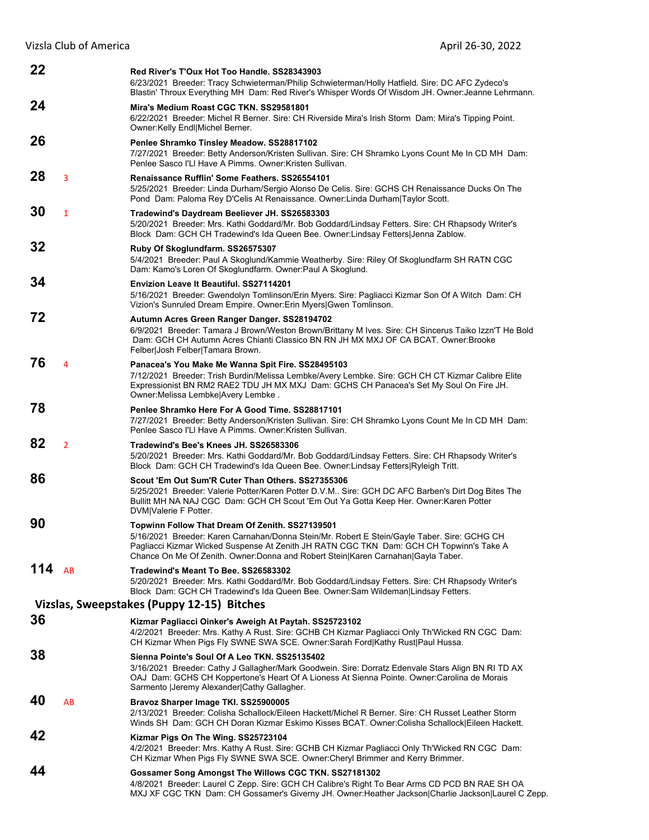| 22  |                | Red River's T'Oux Hot Too Handle, SS28343903<br>6/23/2021 Breeder: Tracy Schwieterman/Philip Schwieterman/Holly Hatfield. Sire: DC AFC Zydeco's<br>Blastin' Throux Everything MH Dam: Red River's Whisper Words Of Wisdom JH. Owner: Jeanne Lehrmann.                                                                         |
|-----|----------------|-------------------------------------------------------------------------------------------------------------------------------------------------------------------------------------------------------------------------------------------------------------------------------------------------------------------------------|
| 24  |                | Mira's Medium Roast CGC TKN, SS29581801<br>6/22/2021 Breeder: Michel R Berner. Sire: CH Riverside Mira's Irish Storm Dam: Mira's Tipping Point.<br>Owner: Kelly Endl Michel Berner.                                                                                                                                           |
| 26  |                | Penlee Shramko Tinsley Meadow. SS28817102<br>7/27/2021 Breeder: Betty Anderson/Kristen Sullivan. Sire: CH Shramko Lyons Count Me In CD MH Dam:<br>Penlee Sasco I'LI Have A Pimms, Owner: Kristen Sullivan.                                                                                                                    |
| 28  | 3              | Renaissance Rufflin' Some Feathers, SS26554101<br>5/25/2021 Breeder: Linda Durham/Sergio Alonso De Celis. Sire: GCHS CH Renaissance Ducks On The<br>Pond Dam: Paloma Rey D'Celis At Renaissance. Owner: Linda Durham Taylor Scott.                                                                                            |
| 30  | $\mathbf{1}$   | Tradewind's Daydream Beeliever JH. SS26583303<br>5/20/2021 Breeder: Mrs. Kathi Goddard/Mr. Bob Goddard/Lindsay Fetters. Sire: CH Rhapsody Writer's<br>Block Dam: GCH CH Tradewind's Ida Queen Bee. Owner:Lindsay Fetters Jenna Zablow.                                                                                        |
| 32  |                | Ruby Of Skoglundfarm. SS26575307<br>5/4/2021 Breeder: Paul A Skoglund/Kammie Weatherby. Sire: Riley Of Skoglundfarm SH RATN CGC<br>Dam: Kamo's Loren Of Skoglundfarm. Owner: Paul A Skoglund.                                                                                                                                 |
| 34  |                | <b>Envizion Leave It Beautiful, SS27114201</b><br>5/16/2021 Breeder: Gwendolyn Tomlinson/Erin Myers. Sire: Pagliacci Kizmar Son Of A Witch Dam: CH<br>Vizion's Sunruled Dream Empire. Owner: Erin Myers Gwen Tomlinson.                                                                                                       |
| 72  |                | Autumn Acres Green Ranger Danger. SS28194702<br>6/9/2021 Breeder: Tamara J Brown/Weston Brown/Brittany M Ives. Sire: CH Sincerus Taiko Izzn'T He Bold<br>Dam: GCH CH Autumn Acres Chianti Classico BN RN JH MX MXJ OF CA BCAT. Owner:Brooke<br>Felber Josh Felber Tamara Brown.                                               |
| 76  | 4              | Panacea's You Make Me Wanna Spit Fire. SS28495103<br>7/12/2021 Breeder: Trish Burdin/Melissa Lembke/Avery Lembke. Sire: GCH CH CT Kizmar Calibre Elite<br>Expressionist BN RM2 RAE2 TDU JH MX MXJ Dam: GCHS CH Panacea's Set My Soul On Fire JH.<br>Owner: Melissa Lembke Avery Lembke.                                       |
| 78  |                | Penlee Shramko Here For A Good Time. SS28817101<br>7/27/2021 Breeder: Betty Anderson/Kristen Sullivan. Sire: CH Shramko Lyons Count Me In CD MH Dam:<br>Penlee Sasco I'LI Have A Pimms, Owner: Kristen Sullivan,                                                                                                              |
| 82  | $\overline{2}$ | Tradewind's Bee's Knees JH, SS26583306<br>5/20/2021 Breeder: Mrs. Kathi Goddard/Mr. Bob Goddard/Lindsay Fetters. Sire: CH Rhapsody Writer's<br>Block Dam: GCH CH Tradewind's Ida Queen Bee. Owner:Lindsay Fetters Ryleigh Tritt.                                                                                              |
| 86  |                | Scout 'Em Out Sum'R Cuter Than Others, SS27355306<br>5/25/2021 Breeder: Valerie Potter/Karen Potter D.V.M Sire: GCH DC AFC Barben's Dirt Dog Bites The<br>Bullitt MH NA NAJ CGC Dam: GCH CH Scout 'Em Out Ya Gotta Keep Her. Owner: Karen Potter<br>DVM Valerie F Potter.                                                     |
| 90  |                | Topwinn Follow That Dream Of Zenith. SS27139501<br>5/16/2021 Breeder: Karen Carnahan/Donna Stein/Mr. Robert E Stein/Gayle Taber. Sire: GCHG CH<br>Pagliacci Kizmar Wicked Suspense At Zenith JH RATN CGC TKN Dam: GCH CH Topwinn's Take A<br>Chance On Me Of Zenith. Owner:Donna and Robert Stein Karen Carnahan Gayla Taber. |
| 114 | AB             | Tradewind's Meant To Bee. SS26583302<br>5/20/2021 Breeder: Mrs. Kathi Goddard/Mr. Bob Goddard/Lindsay Fetters. Sire: CH Rhapsody Writer's<br>Block Dam: GCH CH Tradewind's Ida Queen Bee. Owner:Sam Wildeman Lindsay Fetters.                                                                                                 |
|     |                | Vizslas, Sweepstakes (Puppy 12-15) Bitches                                                                                                                                                                                                                                                                                    |
| 36  |                | Kizmar Pagliacci Oinker's Aweigh At Paytah. SS25723102<br>4/2/2021 Breeder: Mrs. Kathy A Rust. Sire: GCHB CH Kizmar Pagliacci Only Th'Wicked RN CGC Dam:<br>CH Kizmar When Pigs Fly SWNE SWA SCE. Owner:Sarah Ford Kathy Rust Paul Hussa.                                                                                     |
| 38  |                | Sienna Pointe's Soul Of A Leo TKN, SS25135402<br>3/16/2021 Breeder: Cathy J Gallagher/Mark Goodwein. Sire: Dorratz Edenvale Stars Align BN RI TD AX<br>OAJ Dam: GCHS CH Koppertone's Heart Of A Lioness At Sienna Pointe. Owner:Carolina de Morais<br>Sarmento   Jeremy Alexander  Cathy Gallagher.                           |
| 40  | AB             | Bravoz Sharper Image TKI. SS25900005<br>2/13/2021 Breeder: Colisha Schallock/Eileen Hackett/Michel R Berner. Sire: CH Russet Leather Storm<br>Winds SH Dam: GCH CH Doran Kizmar Eskimo Kisses BCAT. Owner: Colisha Schallock Eileen Hackett.                                                                                  |
| 42  |                | Kizmar Pigs On The Wing. SS25723104<br>4/2/2021 Breeder: Mrs. Kathy A Rust. Sire: GCHB CH Kizmar Pagliacci Only Th'Wicked RN CGC Dam:<br>CH Kizmar When Pigs Fly SWNE SWA SCE. Owner:Cheryl Brimmer and Kerry Brimmer.                                                                                                        |
| 44  |                | Gossamer Song Amongst The Willows CGC TKN. SS27181302<br>4/8/2021 Breeder: Laurel C Zepp. Sire: GCH CH Calibre's Right To Bear Arms CD PCD BN RAE SH OA<br>MXJ XF CGC TKN Dam: CH Gossamer's Giverny JH. Owner: Heather Jackson Charlie Jackson Laurel C Zepp.                                                                |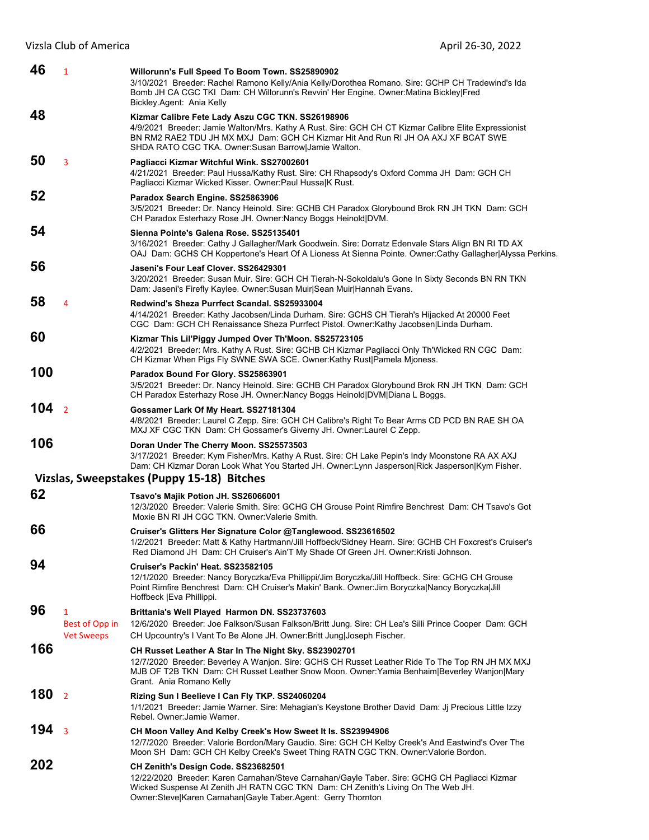| 46  | $\mathbf{1}$                                        | Willorunn's Full Speed To Boom Town. SS25890902<br>3/10/2021 Breeder: Rachel Ramono Kelly/Ania Kelly/Dorothea Romano. Sire: GCHP CH Tradewind's Ida<br>Bomb JH CA CGC TKI Dam: CH Willorunn's Revvin' Her Engine. Owner: Matina Bickley   Fred<br>Bickley.Agent: Ania Kelly                           |
|-----|-----------------------------------------------------|-------------------------------------------------------------------------------------------------------------------------------------------------------------------------------------------------------------------------------------------------------------------------------------------------------|
| 48  |                                                     | Kizmar Calibre Fete Lady Aszu CGC TKN. SS26198906<br>4/9/2021 Breeder: Jamie Walton/Mrs. Kathy A Rust. Sire: GCH CH CT Kizmar Calibre Elite Expressionist<br>BN RM2 RAE2 TDU JH MX MXJ Dam: GCH CH Kizmar Hit And Run RI JH OA AXJ XF BCAT SWE<br>SHDA RATO CGC TKA. Owner:Susan Barrow Jamie Walton. |
| 50  | $\overline{3}$                                      | Pagliacci Kizmar Witchful Wink. SS27002601<br>4/21/2021 Breeder: Paul Hussa/Kathy Rust. Sire: CH Rhapsody's Oxford Comma JH Dam: GCH CH<br>Pagliacci Kizmar Wicked Kisser. Owner: Paul HussalK Rust.                                                                                                  |
| 52  |                                                     | Paradox Search Engine. SS25863906<br>3/5/2021 Breeder: Dr. Nancy Heinold. Sire: GCHB CH Paradox Glorybound Brok RN JH TKN Dam: GCH<br>CH Paradox Esterhazy Rose JH. Owner: Nancy Boggs Heinold DVM.                                                                                                   |
| 54  |                                                     | Sienna Pointe's Galena Rose, SS25135401<br>3/16/2021 Breeder: Cathy J Gallagher/Mark Goodwein. Sire: Dorratz Edenvale Stars Align BN RI TD AX<br>OAJ Dam: GCHS CH Koppertone's Heart Of A Lioness At Sienna Pointe. Owner:Cathy Gallagher Alyssa Perkins.                                             |
| 56  |                                                     | Jaseni's Four Leaf Clover, SS26429301<br>3/20/2021 Breeder: Susan Muir. Sire: GCH CH Tierah-N-Sokoldalu's Gone In Sixty Seconds BN RN TKN<br>Dam: Jaseni's Firefly Kaylee. Owner: Susan Muir Sean Muir Hannah Evans.                                                                                  |
| 58  | 4                                                   | Redwind's Sheza Purrfect Scandal, SS25933004<br>4/14/2021 Breeder: Kathy Jacobsen/Linda Durham. Sire: GCHS CH Tierah's Hijacked At 20000 Feet<br>CGC Dam: GCH CH Renaissance Sheza Purrfect Pistol. Owner:Kathy Jacobsen Linda Durham.                                                                |
| 60  |                                                     | Kizmar This Lil'Piggy Jumped Over Th'Moon. SS25723105<br>4/2/2021 Breeder: Mrs. Kathy A Rust. Sire: GCHB CH Kizmar Pagliacci Only Th'Wicked RN CGC Dam:<br>CH Kizmar When Pigs Fly SWNE SWA SCE. Owner: Kathy Rust   Pamela Mjoness.                                                                  |
| 100 |                                                     | Paradox Bound For Glory. SS25863901<br>3/5/2021 Breeder: Dr. Nancy Heinold. Sire: GCHB CH Paradox Glorybound Brok RN JH TKN Dam: GCH<br>CH Paradox Esterhazy Rose JH. Owner:Nancy Boggs Heinold DVM Diana L Boggs.                                                                                    |
| 104 | $\overline{2}$                                      | Gossamer Lark Of My Heart. SS27181304<br>4/8/2021 Breeder: Laurel C Zepp. Sire: GCH CH Calibre's Right To Bear Arms CD PCD BN RAE SH OA<br>MXJ XF CGC TKN Dam: CH Gossamer's Giverny JH. Owner:Laurel C Zepp.                                                                                         |
| 106 |                                                     | Doran Under The Cherry Moon. SS25573503<br>3/17/2021 Breeder: Kym Fisher/Mrs. Kathy A Rust. Sire: CH Lake Pepin's Indy Moonstone RA AX AXJ<br>Dam: CH Kizmar Doran Look What You Started JH. Owner: Lynn Jasperson Rick Jasperson Kym Fisher.                                                         |
|     |                                                     | Vizslas, Sweepstakes (Puppy 15-18) Bitches                                                                                                                                                                                                                                                            |
| 62  |                                                     | Tsavo's Majik Potion JH. SS26066001<br>12/3/2020 Breeder: Valerie Smith. Sire: GCHG CH Grouse Point Rimfire Benchrest Dam: CH Tsavo's Got<br>Moxie BN RI JH CGC TKN. Owner: Valerie Smith.                                                                                                            |
| 66  |                                                     | Cruiser's Glitters Her Signature Color @Tanglewood. SS23616502<br>1/2/2021 Breeder: Matt & Kathy Hartmann/Jill Hoffbeck/Sidney Hearn. Sire: GCHB CH Foxcrest's Cruiser's<br>Red Diamond JH Dam: CH Cruiser's Ain'T My Shade Of Green JH. Owner: Kristi Johnson.                                       |
| 94  |                                                     | Cruiser's Packin' Heat. SS23582105<br>12/1/2020 Breeder: Nancy Boryczka/Eva Phillippi/Jim Boryczka/Jill Hoffbeck. Sire: GCHG CH Grouse<br>Point Rimfire Benchrest Dam: CH Cruiser's Makin' Bank. Owner: Jim Boryczka Nancy Boryczka Jill<br>Hoffbeck   Eva Phillippi.                                 |
| 96  | $\mathbf{1}$<br>Best of Opp in<br><b>Vet Sweeps</b> | Brittania's Well Played Harmon DN. SS23737603<br>12/6/2020 Breeder: Joe Falkson/Susan Falkson/Britt Jung. Sire: CH Lea's Silli Prince Cooper Dam: GCH<br>CH Upcountry's I Vant To Be Alone JH. Owner:Britt Jung Joseph Fischer.                                                                       |
| 166 |                                                     | CH Russet Leather A Star In The Night Sky. SS23902701<br>12/7/2020 Breeder: Beverley A Wanjon. Sire: GCHS CH Russet Leather Ride To The Top RN JH MX MXJ<br>MJB OF T2B TKN Dam: CH Russet Leather Snow Moon. Owner: Yamia Benhaim Beverley Wanjon Mary<br>Grant. Ania Romano Kelly                    |
| 180 | $\overline{2}$                                      | Rizing Sun I Beelieve I Can Fly TKP. SS24060204<br>1/1/2021 Breeder: Jamie Warner. Sire: Mehagian's Keystone Brother David Dam: Jj Precious Little Izzy<br>Rebel. Owner: Jamie Warner.                                                                                                                |
| 194 | $\overline{3}$                                      | CH Moon Valley And Kelby Creek's How Sweet It Is. SS23994906<br>12/7/2020 Breeder: Valorie Bordon/Mary Gaudio. Sire: GCH CH Kelby Creek's And Eastwind's Over The<br>Moon SH Dam: GCH CH Kelby Creek's Sweet Thing RATN CGC TKN. Owner: Valorie Bordon.                                               |
| 202 |                                                     | CH Zenith's Design Code. SS23682501<br>12/22/2020 Breeder: Karen Carnahan/Steve Carnahan/Gayle Taber. Sire: GCHG CH Pagliacci Kizmar<br>Wicked Suspense At Zenith JH RATN CGC TKN Dam: CH Zenith's Living On The Web JH.<br>Owner:Steve Karen Carnahan Gayle Taber.Agent: Gerry Thornton              |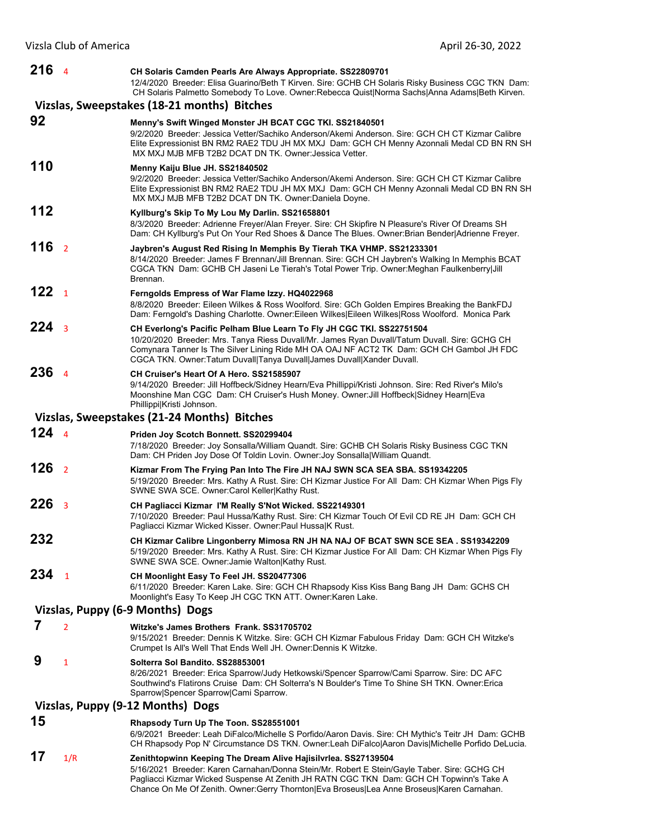| 216 <sub>4</sub> |                         | CH Solaris Camden Pearls Are Always Appropriate. SS22809701<br>12/4/2020 Breeder: Elisa Guarino/Beth T Kirven. Sire: GCHB CH Solaris Risky Business CGC TKN Dam:<br>CH Solaris Palmetto Somebody To Love. Owner:Rebecca Quist Norma Sachs Anna Adams Beth Kirven.                                                                            |
|------------------|-------------------------|----------------------------------------------------------------------------------------------------------------------------------------------------------------------------------------------------------------------------------------------------------------------------------------------------------------------------------------------|
|                  |                         | Vizslas, Sweepstakes (18-21 months) Bitches                                                                                                                                                                                                                                                                                                  |
| 92               |                         | Menny's Swift Winged Monster JH BCAT CGC TKI. SS21840501<br>9/2/2020 Breeder: Jessica Vetter/Sachiko Anderson/Akemi Anderson, Sire: GCH CH CT Kizmar Calibre<br>Elite Expressionist BN RM2 RAE2 TDU JH MX MXJ Dam: GCH CH Menny Azonnali Medal CD BN RN SH<br>MX MXJ MJB MFB T2B2 DCAT DN TK. Owner: Jessica Vetter.                         |
| 110              |                         | Menny Kaiju Blue JH. SS21840502<br>9/2/2020 Breeder: Jessica Vetter/Sachiko Anderson/Akemi Anderson. Sire: GCH CH CT Kizmar Calibre<br>Elite Expressionist BN RM2 RAE2 TDU JH MX MXJ Dam: GCH CH Menny Azonnali Medal CD BN RN SH<br>MX MXJ MJB MFB T2B2 DCAT DN TK. Owner:Daniela Doyne.                                                    |
| 112              |                         | Kyllburg's Skip To My Lou My Darlin. SS21658801<br>8/3/2020 Breeder: Adrienne Freyer/Alan Freyer. Sire: CH Skipfire N Pleasure's River Of Dreams SH<br>Dam: CH Kyllburg's Put On Your Red Shoes & Dance The Blues. Owner: Brian Bender Adrienne Freyer.                                                                                      |
| 116 <sub>2</sub> |                         | Jaybren's August Red Rising In Memphis By Tierah TKA VHMP. SS21233301<br>8/14/2020 Breeder: James F Brennan/Jill Brennan. Sire: GCH CH Jaybren's Walking In Memphis BCAT<br>CGCA TKN Dam: GCHB CH Jaseni Le Tierah's Total Power Trip. Owner: Meghan Faulkenberry Jill<br>Brennan.                                                           |
| 122 <sub>1</sub> |                         | Ferngolds Empress of War Flame Izzy. HQ4022968<br>8/8/2020 Breeder: Eileen Wilkes & Ross Woolford. Sire: GCh Golden Empires Breaking the BankFDJ<br>Dam: Ferngold's Dashing Charlotte. Owner:Eileen Wilkes Eileen Wilkes Ross Woolford. Monica Park                                                                                          |
| $224_{3}$        |                         | CH Everlong's Pacific Pelham Blue Learn To Fly JH CGC TKI. SS22751504<br>10/20/2020 Breeder: Mrs. Tanya Riess Duvall/Mr. James Ryan Duvall/Tatum Duvall. Sire: GCHG CH<br>Comynara Tanner Is The Silver Lining Ride MH OA OAJ NF ACT2 TK Dam: GCH CH Gambol JH FDC<br>CGCA TKN. Owner: Tatum Duvall Tanya Duvall James Duvall Xander Duvall. |
| 236              | $\overline{4}$          | CH Cruiser's Heart Of A Hero, SS21585907<br>9/14/2020 Breeder: Jill Hoffbeck/Sidney Hearn/Eva Phillippi/Kristi Johnson. Sire: Red River's Milo's<br>Moonshine Man CGC Dam: CH Cruiser's Hush Money. Owner: Jill Hoffbeck Sidney Hearn Eva<br>Phillippi Kristi Johnson.                                                                       |
|                  |                         | Vizslas, Sweepstakes (21-24 Months) Bitches                                                                                                                                                                                                                                                                                                  |
| $124 \t4$        |                         | Priden Joy Scotch Bonnett. SS20299404<br>7/18/2020 Breeder: Joy Sonsalla/William Quandt. Sire: GCHB CH Solaris Risky Business CGC TKN<br>Dam: CH Priden Joy Dose Of Toldin Lovin. Owner: Joy Sonsalla William Quandt.                                                                                                                        |
| 126 <sub>2</sub> |                         | Kizmar From The Frying Pan Into The Fire JH NAJ SWN SCA SEA SBA. SS19342205<br>5/19/2020 Breeder: Mrs. Kathy A Rust. Sire: CH Kizmar Justice For All Dam: CH Kizmar When Pigs Fly<br>SWNE SWA SCE. Owner:Carol Keller Kathy Rust.                                                                                                            |
| 226              | $\overline{\mathbf{3}}$ | CH Pagliacci Kizmar I'M Really S'Not Wicked. SS22149301<br>7/10/2020 Breeder: Paul Hussa/Kathy Rust. Sire: CH Kizmar Touch Of Evil CD RE JH Dam: GCH CH<br>Pagliacci Kizmar Wicked Kisser. Owner: Paul Hussa K Rust.                                                                                                                         |
| 232              |                         | CH Kizmar Calibre Lingonberry Mimosa RN JH NA NAJ OF BCAT SWN SCE SEA . SS19342209<br>5/19/2020 Breeder: Mrs. Kathy A Rust. Sire: CH Kizmar Justice For All Dam: CH Kizmar When Pigs Fly<br>SWNE SWA SCE. Owner: Jamie Walton Kathy Rust.                                                                                                    |
| 234              | $\overline{1}$          | CH Moonlight Easy To Feel JH. SS20477306<br>6/11/2020 Breeder: Karen Lake. Sire: GCH CH Rhapsody Kiss Kiss Bang Bang JH Dam: GCHS CH<br>Moonlight's Easy To Keep JH CGC TKN ATT. Owner: Karen Lake.                                                                                                                                          |
|                  |                         | Vizslas, Puppy (6-9 Months) Dogs                                                                                                                                                                                                                                                                                                             |
| 7                | $\overline{2}$          | Witzke's James Brothers Frank. SS31705702<br>9/15/2021 Breeder: Dennis K Witzke. Sire: GCH CH Kizmar Fabulous Friday Dam: GCH CH Witzke's<br>Crumpet Is All's Well That Ends Well JH. Owner: Dennis K Witzke.                                                                                                                                |
| 9                | 1                       | Solterra Sol Bandito. SS28853001<br>8/26/2021 Breeder: Erica Sparrow/Judy Hetkowski/Spencer Sparrow/Cami Sparrow. Sire: DC AFC<br>Southwind's Flatirons Cruise Dam: CH Solterra's N Boulder's Time To Shine SH TKN. Owner: Erica<br>Sparrow Spencer Sparrow Cami Sparrow.                                                                    |
|                  |                         | Vizslas, Puppy (9-12 Months) Dogs                                                                                                                                                                                                                                                                                                            |
| 15               |                         | Rhapsody Turn Up The Toon. SS28551001<br>6/9/2021 Breeder: Leah DiFalco/Michelle S Porfido/Aaron Davis. Sire: CH Mythic's Teitr JH Dam: GCHB<br>CH Rhapsody Pop N' Circumstance DS TKN. Owner:Leah DiFalco Aaron Davis Michelle Porfido DeLucia.                                                                                             |
| 17               | 1/R                     | Zenithtopwinn Keeping The Dream Alive Hajisilvrlea. SS27139504<br>5/16/2021 Breeder: Karen Carnahan/Donna Stein/Mr. Robert E Stein/Gayle Taber. Sire: GCHG CH<br>Pagliacci Kizmar Wicked Suspense At Zenith JH RATN CGC TKN Dam: GCH CH Topwinn's Take A                                                                                     |

Chance On Me Of Zenith. Owner:Gerry Thornton|Eva Broseus|Lea Anne Broseus|Karen Carnahan.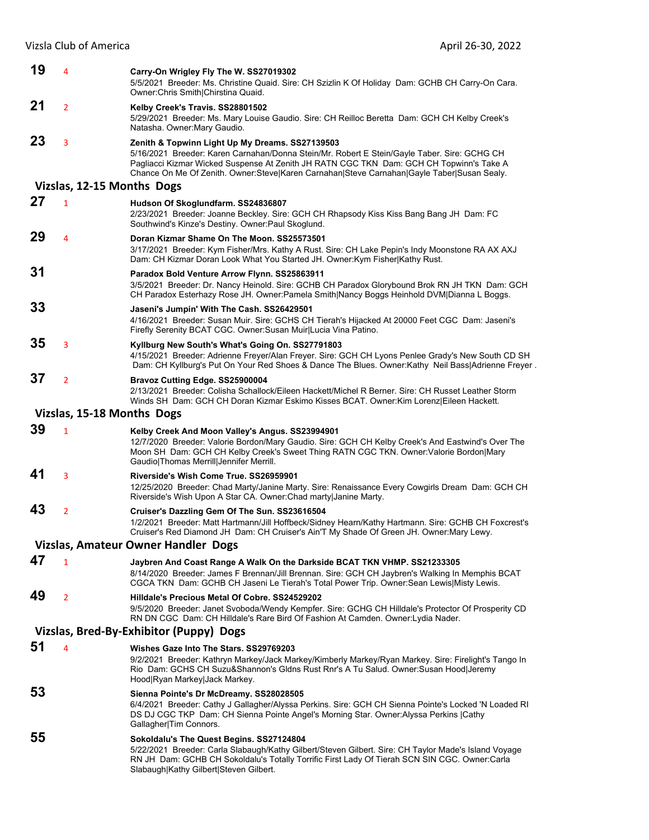| 19 | $\overline{4}$             | Carry-On Wrigley Fly The W. SS27019302<br>5/5/2021 Breeder: Ms. Christine Quaid. Sire: CH Szizlin K Of Holiday Dam: GCHB CH Carry-On Cara.<br>Owner: Chris Smith Chirstina Quaid.                                                                                                                                                       |
|----|----------------------------|-----------------------------------------------------------------------------------------------------------------------------------------------------------------------------------------------------------------------------------------------------------------------------------------------------------------------------------------|
| 21 | $\overline{2}$             | Kelby Creek's Travis. SS28801502<br>5/29/2021 Breeder: Ms. Mary Louise Gaudio. Sire: CH Reilloc Beretta Dam: GCH CH Kelby Creek's<br>Natasha. Owner:Mary Gaudio.                                                                                                                                                                        |
| 23 | 3                          | Zenith & Topwinn Light Up My Dreams. SS27139503<br>5/16/2021 Breeder: Karen Carnahan/Donna Stein/Mr. Robert E Stein/Gayle Taber. Sire: GCHG CH<br>Pagliacci Kizmar Wicked Suspense At Zenith JH RATN CGC TKN Dam: GCH CH Topwinn's Take A<br>Chance On Me Of Zenith. Owner:Steve Karen Carnahan Steve Carnahan Gayle Taber Susan Sealy. |
|    | Vizslas, 12-15 Months Dogs |                                                                                                                                                                                                                                                                                                                                         |
| 27 | $\mathbf{1}$               | Hudson Of Skoglundfarm. SS24836807<br>2/23/2021 Breeder: Joanne Beckley. Sire: GCH CH Rhapsody Kiss Kiss Bang Bang JH Dam: FC<br>Southwind's Kinze's Destiny. Owner: Paul Skoglund.                                                                                                                                                     |
| 29 | $\overline{4}$             | Doran Kizmar Shame On The Moon. SS25573501<br>3/17/2021 Breeder: Kym Fisher/Mrs. Kathy A Rust. Sire: CH Lake Pepin's Indy Moonstone RA AX AXJ<br>Dam: CH Kizmar Doran Look What You Started JH. Owner: Kym Fisher Kathy Rust.                                                                                                           |
| 31 |                            | Paradox Bold Venture Arrow Flynn. SS25863911<br>3/5/2021 Breeder: Dr. Nancy Heinold. Sire: GCHB CH Paradox Glorybound Brok RN JH TKN Dam: GCH<br>CH Paradox Esterhazy Rose JH. Owner:Pamela Smith Nancy Boggs Heinhold DVM Dianna L Boggs.                                                                                              |
| 33 |                            | Jaseni's Jumpin' With The Cash. SS26429501<br>4/16/2021 Breeder: Susan Muir. Sire: GCHS CH Tierah's Hijacked At 20000 Feet CGC Dam: Jaseni's<br>Firefly Serenity BCAT CGC. Owner: Susan Muir Lucia Vina Patino.                                                                                                                         |
| 35 | 3                          | Kyllburg New South's What's Going On. SS27791803<br>4/15/2021 Breeder: Adrienne Freyer/Alan Freyer. Sire: GCH CH Lyons Penlee Grady's New South CD SH<br>Dam: CH Kyllburg's Put On Your Red Shoes & Dance The Blues. Owner:Kathy Neil Bass Adrienne Freyer.                                                                             |
| 37 | $\overline{2}$             | Bravoz Cutting Edge. SS25900004<br>2/13/2021 Breeder: Colisha Schallock/Eileen Hackett/Michel R Berner. Sire: CH Russet Leather Storm<br>Winds SH Dam: GCH CH Doran Kizmar Eskimo Kisses BCAT. Owner: Kim Lorenz Eileen Hackett.                                                                                                        |
|    | Vizslas, 15-18 Months Dogs |                                                                                                                                                                                                                                                                                                                                         |
| 39 | $\mathbf{1}$               | Kelby Creek And Moon Valley's Angus. SS23994901<br>12/7/2020 Breeder: Valorie Bordon/Mary Gaudio. Sire: GCH CH Kelby Creek's And Eastwind's Over The<br>Moon SH Dam: GCH CH Kelby Creek's Sweet Thing RATN CGC TKN. Owner: Valorie Bordon Mary<br>Gaudio Thomas Merrill Jennifer Merrill.                                               |
| 41 | 3                          | Riverside's Wish Come True. SS26959901<br>12/25/2020 Breeder: Chad Marty/Janine Marty. Sire: Renaissance Every Cowgirls Dream Dam: GCH CH<br>Riverside's Wish Upon A Star CA. Owner: Chad marty Janine Marty.                                                                                                                           |
| 43 | $\overline{2}$             | Cruiser's Dazzling Gem Of The Sun. SS23616504<br>1/2/2021 Breeder: Matt Hartmann/Jill Hoffbeck/Sidney Hearn/Kathy Hartmann. Sire: GCHB CH Foxcrest's<br>Cruiser's Red Diamond JH Dam: CH Cruiser's Ain'T My Shade Of Green JH. Owner:Mary Lewy.                                                                                         |
|    |                            | Vizslas, Amateur Owner Handler Dogs                                                                                                                                                                                                                                                                                                     |
| 47 | $\mathbf{1}$               | Jaybren And Coast Range A Walk On the Darkside BCAT TKN VHMP. SS21233305<br>8/14/2020 Breeder: James F Brennan/Jill Brennan. Sire: GCH CH Jaybren's Walking In Memphis BCAT<br>CGCA TKN Dam: GCHB CH Jaseni Le Tierah's Total Power Trip. Owner: Sean Lewis Misty Lewis.                                                                |
| 49 | $\overline{2}$             | Hilldale's Precious Metal Of Cobre. SS24529202<br>9/5/2020 Breeder: Janet Svoboda/Wendy Kempfer. Sire: GCHG CH Hilldale's Protector Of Prosperity CD<br>RN DN CGC Dam: CH Hilldale's Rare Bird Of Fashion At Camden. Owner: Lydia Nader.                                                                                                |
|    |                            | Vizslas, Bred-By-Exhibitor (Puppy) Dogs                                                                                                                                                                                                                                                                                                 |
| 51 | 4                          | Wishes Gaze Into The Stars. SS29769203<br>9/2/2021 Breeder: Kathryn Markey/Jack Markey/Kimberly Markey/Ryan Markey. Sire: Firelight's Tango In<br>Rio Dam: GCHS CH Suzu&Shannon's Gldns Rust Rnr's A Tu Salud. Owner:Susan Hood Jeremy<br>Hood Ryan Markey Jack Markey.                                                                 |
| 53 |                            | Sienna Pointe's Dr McDreamy. SS28028505<br>6/4/2021 Breeder: Cathy J Gallagher/Alyssa Perkins. Sire: GCH CH Sienna Pointe's Locked 'N Loaded RI<br>DS DJ CGC TKP Dam: CH Sienna Pointe Angel's Morning Star. Owner: Alyssa Perkins   Cathy<br>Gallagher Tim Connors.                                                                    |
| 55 |                            | Sokoldalu's The Quest Begins. SS27124804<br>5/22/2021 Breeder: Carla Slabaugh/Kathy Gilbert/Steven Gilbert. Sire: CH Taylor Made's Island Voyage<br>RN JH Dam: GCHB CH Sokoldalu's Totally Torrific First Lady Of Tierah SCN SIN CGC. Owner:Carla<br>Slabaugh Kathy Gilbert Steven Gilbert.                                             |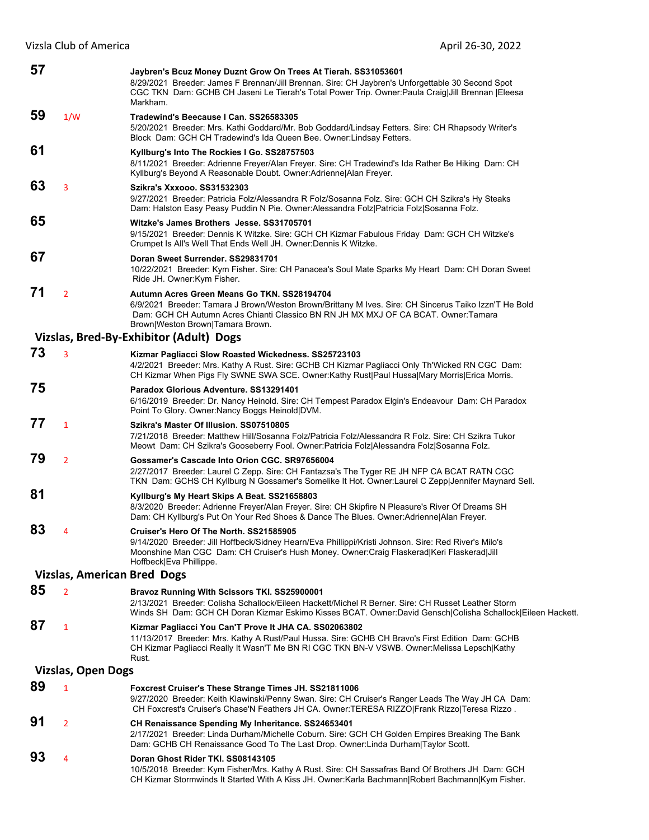| 57 |                                    | Jaybren's Bcuz Money Duznt Grow On Trees At Tierah. SS31053601<br>8/29/2021 Breeder: James F Brennan/Jill Brennan. Sire: CH Jaybren's Unforgettable 30 Second Spot<br>CGC TKN Dam: GCHB CH Jaseni Le Tierah's Total Power Trip. Owner:Paula Craig Jill Brennan  Eleesa<br>Markham. |
|----|------------------------------------|------------------------------------------------------------------------------------------------------------------------------------------------------------------------------------------------------------------------------------------------------------------------------------|
| 59 | 1/W                                | Tradewind's Beecause I Can. SS26583305<br>5/20/2021 Breeder: Mrs. Kathi Goddard/Mr. Bob Goddard/Lindsay Fetters. Sire: CH Rhapsody Writer's<br>Block Dam: GCH CH Tradewind's Ida Queen Bee. Owner: Lindsay Fetters.                                                                |
| 61 |                                    | Kyllburg's Into The Rockies I Go. SS28757503<br>8/11/2021 Breeder: Adrienne Freyer/Alan Freyer. Sire: CH Tradewind's Ida Rather Be Hiking Dam: CH<br>Kyllburg's Beyond A Reasonable Doubt. Owner: Adrienne   Alan Freyer.                                                          |
| 63 | 3                                  | Szikra's Xxxooo. SS31532303<br>9/27/2021 Breeder: Patricia Folz/Alessandra R Folz/Sosanna Folz. Sire: GCH CH Szikra's Hy Steaks<br>Dam: Halston Easy Peasy Puddin N Pie. Owner: Alessandra Folz Patricia Folz Sosanna Folz.                                                        |
| 65 |                                    | Witzke's James Brothers Jesse. SS31705701<br>9/15/2021 Breeder: Dennis K Witzke. Sire: GCH CH Kizmar Fabulous Friday Dam: GCH CH Witzke's<br>Crumpet Is All's Well That Ends Well JH. Owner: Dennis K Witzke.                                                                      |
| 67 |                                    | Doran Sweet Surrender. SS29831701<br>10/22/2021 Breeder: Kym Fisher. Sire: CH Panacea's Soul Mate Sparks My Heart Dam: CH Doran Sweet<br>Ride JH. Owner: Kym Fisher.                                                                                                               |
| 71 | $\overline{2}$                     | Autumn Acres Green Means Go TKN. SS28194704<br>6/9/2021 Breeder: Tamara J Brown/Weston Brown/Brittany M Ives. Sire: CH Sincerus Taiko Izzn'T He Bold<br>Dam: GCH CH Autumn Acres Chianti Classico BN RN JH MX MXJ OF CA BCAT. Owner:Tamara<br>Brown Weston Brown Tamara Brown.     |
|    |                                    | Vizslas, Bred-By-Exhibitor (Adult) Dogs                                                                                                                                                                                                                                            |
| 73 | 3                                  | Kizmar Pagliacci Slow Roasted Wickedness. SS25723103<br>4/2/2021 Breeder: Mrs. Kathy A Rust. Sire: GCHB CH Kizmar Pagliacci Only Th'Wicked RN CGC Dam:<br>CH Kizmar When Pigs Fly SWNE SWA SCE. Owner:Kathy Rust Paul Hussa Mary Morris Erica Morris.                              |
| 75 |                                    | Paradox Glorious Adventure, SS13291401<br>6/16/2019 Breeder: Dr. Nancy Heinold. Sire: CH Tempest Paradox Elgin's Endeavour Dam: CH Paradox<br>Point To Glory. Owner:Nancy Boggs Heinold DVM.                                                                                       |
| 77 | $\mathbf{1}$                       | Szikra's Master Of Illusion, SS07510805<br>7/21/2018 Breeder: Matthew Hill/Sosanna Folz/Patricia Folz/Alessandra R Folz. Sire: CH Szikra Tukor<br>Meowt Dam: CH Szikra's Gooseberry Fool. Owner:Patricia Folz Alessandra Folz Sosanna Folz.                                        |
| 79 | $\overline{2}$                     | Gossamer's Cascade Into Orion CGC. SR97656004<br>2/27/2017 Breeder: Laurel C Zepp. Sire: CH Fantazsa's The Tyger RE JH NFP CA BCAT RATN CGC<br>TKN Dam: GCHS CH Kyllburg N Gossamer's Somelike It Hot. Owner:Laurel C Zepp Jennifer Maynard Sell.                                  |
| 81 |                                    | Kyllburg's My Heart Skips A Beat. SS21658803<br>8/3/2020 Breeder: Adrienne Freyer/Alan Freyer. Sire: CH Skipfire N Pleasure's River Of Dreams SH<br>Dam: CH Kyllburg's Put On Your Red Shoes & Dance The Blues. Owner: Adrienne   Alan Freyer.                                     |
| 83 | 4                                  | Cruiser's Hero Of The North. SS21585905<br>9/14/2020 Breeder: Jill Hoffbeck/Sidney Hearn/Eva Phillippi/Kristi Johnson. Sire: Red River's Milo's<br>Moonshine Man CGC Dam: CH Cruiser's Hush Money. Owner:Craig Flaskerad Keri Flaskerad Jill<br>Hoffbeck Eva Phillippe.            |
|    | <b>Vizslas, American Bred Dogs</b> |                                                                                                                                                                                                                                                                                    |
| 85 | $\overline{2}$                     | Bravoz Running With Scissors TKI. SS25900001<br>2/13/2021  Breeder: Colisha Schallock/Eileen Hackett/Michel R Berner. Sire: CH Russet Leather Storm<br>Winds SH Dam: GCH CH Doran Kizmar Eskimo Kisses BCAT. Owner:David Gensch Colisha Schallock Eileen Hackett.                  |
| 87 | $\mathbf{1}$                       | Kizmar Pagliacci You Can'T Prove It JHA CA. SS02063802<br>11/13/2017 Breeder: Mrs. Kathy A Rust/Paul Hussa. Sire: GCHB CH Bravo's First Edition Dam: GCHB<br>CH Kizmar Pagliacci Really It Wasn'T Me BN RI CGC TKN BN-V VSWB. Owner:Melissa Lepsch Kathy<br>Rust.                  |
|    | <b>Vizslas, Open Dogs</b>          |                                                                                                                                                                                                                                                                                    |
| 89 | $\mathbf{1}$                       | <b>Foxcrest Cruiser's These Strange Times JH. SS21811006</b><br>9/27/2020 Breeder: Keith Klawinski/Penny Swan. Sire: CH Cruiser's Ranger Leads The Way JH CA Dam:<br>CH Foxcrest's Cruiser's Chase'N Feathers JH CA. Owner:TERESA RIZZO Frank Rizzo Teresa Rizzo.                  |
| 91 | $\overline{2}$                     | CH Renaissance Spending My Inheritance. SS24653401<br>2/17/2021 Breeder: Linda Durham/Michelle Coburn. Sire: GCH CH Golden Empires Breaking The Bank<br>Dam: GCHB CH Renaissance Good To The Last Drop. Owner: Linda Durham Taylor Scott.                                          |
| 93 | 4                                  | Doran Ghost Rider TKI. SS08143105<br>10/5/2018 Breeder: Kym Fisher/Mrs. Kathy A Rust. Sire: CH Sassafras Band Of Brothers JH Dam: GCH<br>CH Kizmar Stormwinds It Started With A Kiss JH. Owner:Karla Bachmann Robert Bachmann Kym Fisher.                                          |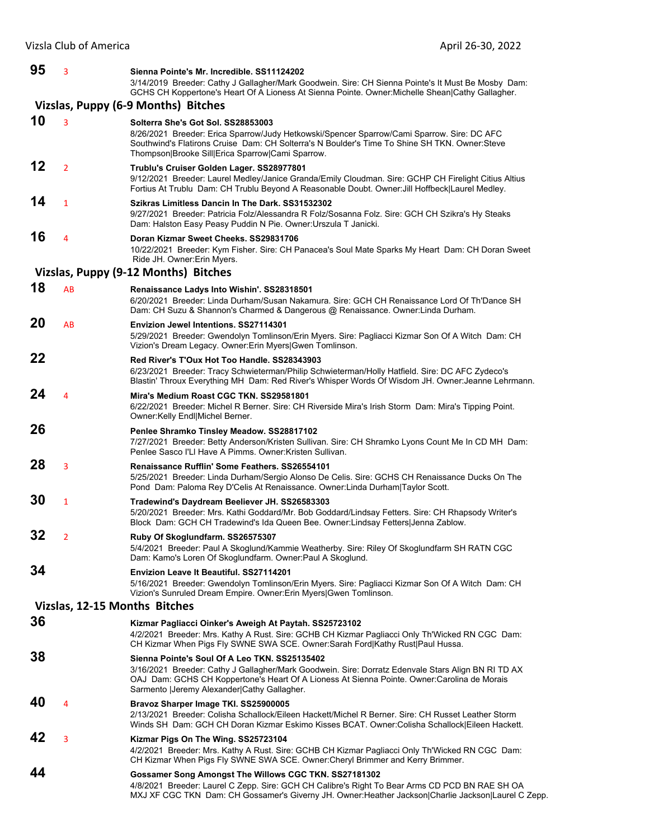| 95 | 3              | Sienna Pointe's Mr. Incredible, SS11124202<br>3/14/2019 Breeder: Cathy J Gallagher/Mark Goodwein. Sire: CH Sienna Pointe's It Must Be Mosby Dam:<br>GCHS CH Koppertone's Heart Of A Lioness At Sienna Pointe. Owner: Michelle Shean Cathy Gallagher.                                                |
|----|----------------|-----------------------------------------------------------------------------------------------------------------------------------------------------------------------------------------------------------------------------------------------------------------------------------------------------|
|    |                | Vizslas, Puppy (6-9 Months) Bitches                                                                                                                                                                                                                                                                 |
| 10 | 3              | Solterra She's Got Sol. SS28853003                                                                                                                                                                                                                                                                  |
|    |                | 8/26/2021 Breeder: Erica Sparrow/Judy Hetkowski/Spencer Sparrow/Cami Sparrow. Sire: DC AFC<br>Southwind's Flatirons Cruise Dam: CH Solterra's N Boulder's Time To Shine SH TKN. Owner: Steve<br>Thompson Brooke Sill Erica Sparrow Cami Sparrow.                                                    |
| 12 | $\overline{2}$ | Trublu's Cruiser Golden Lager. SS28977801<br>9/12/2021 Breeder: Laurel Medley/Janice Granda/Emily Cloudman. Sire: GCHP CH Firelight Citius Altius<br>Fortius At Trublu Dam: CH Trublu Beyond A Reasonable Doubt. Owner: Jill Hoffbeck Laurel Medley.                                                |
| 14 | $\mathbf{1}$   | Szikras Limitless Dancin In The Dark, SS31532302<br>9/27/2021 Breeder: Patricia Folz/Alessandra R Folz/Sosanna Folz. Sire: GCH CH Szikra's Hy Steaks<br>Dam: Halston Easy Peasy Puddin N Pie. Owner: Urszula T Janicki.                                                                             |
| 16 | 4              | Doran Kizmar Sweet Cheeks, SS29831706<br>10/22/2021 Breeder: Kym Fisher. Sire: CH Panacea's Soul Mate Sparks My Heart Dam: CH Doran Sweet<br>Ride JH. Owner: Erin Myers.                                                                                                                            |
|    |                | Vizslas, Puppy (9-12 Months) Bitches                                                                                                                                                                                                                                                                |
| 18 | AB             | Renaissance Ladys Into Wishin'. SS28318501<br>6/20/2021 Breeder: Linda Durham/Susan Nakamura. Sire: GCH CH Renaissance Lord Of Th'Dance SH<br>Dam: CH Suzu & Shannon's Charmed & Dangerous @ Renaissance. Owner:Linda Durham.                                                                       |
| 20 | AB             | <b>Envizion Jewel Intentions. SS27114301</b><br>5/29/2021 Breeder: Gwendolyn Tomlinson/Erin Myers. Sire: Pagliacci Kizmar Son Of A Witch Dam: CH<br>Vizion's Dream Legacy. Owner: Erin Myers Gwen Tomlinson.                                                                                        |
| 22 |                | Red River's T'Oux Hot Too Handle. SS28343903<br>6/23/2021 Breeder: Tracy Schwieterman/Philip Schwieterman/Holly Hatfield. Sire: DC AFC Zydeco's<br>Blastin' Throux Everything MH Dam: Red River's Whisper Words Of Wisdom JH. Owner: Jeanne Lehrmann.                                               |
| 24 | 4              | Mira's Medium Roast CGC TKN, SS29581801<br>6/22/2021 Breeder: Michel R Berner. Sire: CH Riverside Mira's Irish Storm Dam: Mira's Tipping Point.<br>Owner:Kelly Endl Michel Berner.                                                                                                                  |
| 26 |                | Penlee Shramko Tinsley Meadow. SS28817102<br>7/27/2021 Breeder: Betty Anderson/Kristen Sullivan. Sire: CH Shramko Lyons Count Me In CD MH Dam:<br>Penlee Sasco I'LI Have A Pimms, Owner: Kristen Sullivan,                                                                                          |
| 28 | 3              | Renaissance Rufflin' Some Feathers, SS26554101<br>5/25/2021 Breeder: Linda Durham/Sergio Alonso De Celis. Sire: GCHS CH Renaissance Ducks On The<br>Pond Dam: Paloma Rey D'Celis At Renaissance. Owner: Linda Durham Taylor Scott.                                                                  |
| 30 | 1              | Tradewind's Daydream Beeliever JH. SS26583303<br>5/20/2021 Breeder: Mrs. Kathi Goddard/Mr. Bob Goddard/Lindsay Fetters. Sire: CH Rhapsody Writer's<br>Block Dam: GCH CH Tradewind's Ida Queen Bee. Owner:Lindsay Fetters Jenna Zablow.                                                              |
| 32 | 2              | Ruby Of Skoglundfarm. SS26575307<br>5/4/2021 Breeder: Paul A Skoglund/Kammie Weatherby. Sire: Riley Of Skoglundfarm SH RATN CGC<br>Dam: Kamo's Loren Of Skoglundfarm. Owner:Paul A Skoglund.                                                                                                        |
| 34 |                | <b>Envizion Leave It Beautiful. SS27114201</b><br>5/16/2021 Breeder: Gwendolyn Tomlinson/Erin Myers. Sire: Pagliacci Kizmar Son Of A Witch Dam: CH<br>Vizion's Sunruled Dream Empire. Owner: Erin Myers Gwen Tomlinson.                                                                             |
|    |                | Vizslas, 12-15 Months Bitches                                                                                                                                                                                                                                                                       |
| 36 |                | Kizmar Pagliacci Oinker's Aweigh At Paytah. SS25723102<br>4/2/2021 Breeder: Mrs. Kathy A Rust. Sire: GCHB CH Kizmar Pagliacci Only Th'Wicked RN CGC Dam:<br>CH Kizmar When Pigs Fly SWNE SWA SCE. Owner:Sarah Ford Kathy Rust Paul Hussa.                                                           |
| 38 |                | Sienna Pointe's Soul Of A Leo TKN, SS25135402<br>3/16/2021 Breeder: Cathy J Gallagher/Mark Goodwein. Sire: Dorratz Edenvale Stars Align BN RI TD AX<br>OAJ Dam: GCHS CH Koppertone's Heart Of A Lioness At Sienna Pointe. Owner:Carolina de Morais<br>Sarmento   Jeremy Alexander  Cathy Gallagher. |
| 40 | 4              | Bravoz Sharper Image TKI. SS25900005<br>2/13/2021 Breeder: Colisha Schallock/Eileen Hackett/Michel R Berner. Sire: CH Russet Leather Storm<br>Winds SH Dam: GCH CH Doran Kizmar Eskimo Kisses BCAT. Owner: Colisha Schallock Eileen Hackett.                                                        |
| 42 | 3              | Kizmar Pigs On The Wing. SS25723104<br>4/2/2021 Breeder: Mrs. Kathy A Rust. Sire: GCHB CH Kizmar Pagliacci Only Th'Wicked RN CGC Dam:<br>CH Kizmar When Pigs Fly SWNE SWA SCE. Owner: Cheryl Brimmer and Kerry Brimmer.                                                                             |
| 44 |                | Gossamer Song Amongst The Willows CGC TKN. SS27181302<br>4/8/2021 Breeder: Laurel C Zepp. Sire: GCH CH Calibre's Right To Bear Arms CD PCD BN RAE SH OA<br>MXJ XF CGC TKN Dam: CH Gossamer's Giverny JH. Owner:Heather Jackson Charlie Jackson Laurel C Zepp.                                       |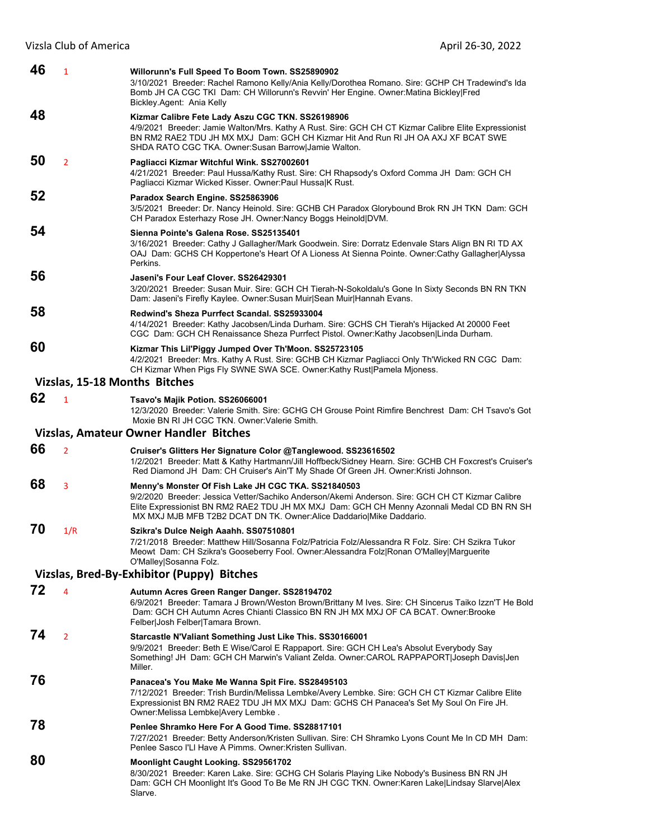| 46 | $\mathbf{1}$                  | Willorunn's Full Speed To Boom Town. SS25890902<br>3/10/2021 Breeder: Rachel Ramono Kelly/Ania Kelly/Dorothea Romano. Sire: GCHP CH Tradewind's Ida<br>Bomb JH CA CGC TKI Dam: CH Willorunn's Revvin' Her Engine. Owner: Matina Bickley   Fred<br>Bickley Agent: Ania Kelly                                                  |
|----|-------------------------------|------------------------------------------------------------------------------------------------------------------------------------------------------------------------------------------------------------------------------------------------------------------------------------------------------------------------------|
| 48 |                               | Kizmar Calibre Fete Lady Aszu CGC TKN. SS26198906<br>4/9/2021 Breeder: Jamie Walton/Mrs. Kathy A Rust. Sire: GCH CH CT Kizmar Calibre Elite Expressionist<br>BN RM2 RAE2 TDU JH MX MXJ Dam: GCH CH Kizmar Hit And Run RI JH OA AXJ XF BCAT SWE<br>SHDA RATO CGC TKA. Owner: Susan Barrow Jamie Walton.                       |
| 50 | $\overline{2}$                | Pagliacci Kizmar Witchful Wink. SS27002601<br>4/21/2021 Breeder: Paul Hussa/Kathy Rust. Sire: CH Rhapsody's Oxford Comma JH Dam: GCH CH<br>Pagliacci Kizmar Wicked Kisser. Owner: Paul HussalK Rust.                                                                                                                         |
| 52 |                               | Paradox Search Engine. SS25863906<br>3/5/2021 Breeder: Dr. Nancy Heinold. Sire: GCHB CH Paradox Glorybound Brok RN JH TKN Dam: GCH<br>CH Paradox Esterhazy Rose JH. Owner: Nancy Boggs Heinold DVM.                                                                                                                          |
| 54 |                               | Sienna Pointe's Galena Rose, SS25135401<br>3/16/2021 Breeder: Cathy J Gallagher/Mark Goodwein. Sire: Dorratz Edenvale Stars Align BN RI TD AX<br>OAJ Dam: GCHS CH Koppertone's Heart Of A Lioness At Sienna Pointe. Owner:Cathy Gallagher Alyssa<br>Perkins.                                                                 |
| 56 |                               | Jaseni's Four Leaf Clover, SS26429301<br>3/20/2021 Breeder: Susan Muir. Sire: GCH CH Tierah-N-Sokoldalu's Gone In Sixty Seconds BN RN TKN<br>Dam: Jaseni's Firefly Kaylee. Owner: Susan Muir Sean Muir Hannah Evans.                                                                                                         |
| 58 |                               | Redwind's Sheza Purrfect Scandal. SS25933004<br>4/14/2021 Breeder: Kathy Jacobsen/Linda Durham. Sire: GCHS CH Tierah's Hijacked At 20000 Feet<br>CGC Dam: GCH CH Renaissance Sheza Purrfect Pistol. Owner: Kathy Jacobsen Linda Durham.                                                                                      |
| 60 |                               | Kizmar This Lil'Piggy Jumped Over Th'Moon. SS25723105<br>4/2/2021 Breeder: Mrs. Kathy A Rust. Sire: GCHB CH Kizmar Pagliacci Only Th'Wicked RN CGC Dam:<br>CH Kizmar When Pigs Fly SWNE SWA SCE. Owner: Kathy Rust   Pamela Mjoness.                                                                                         |
|    | Vizslas, 15-18 Months Bitches |                                                                                                                                                                                                                                                                                                                              |
| 62 | $\mathbf{1}$                  | Tsavo's Majik Potion. SS26066001<br>12/3/2020 Breeder: Valerie Smith. Sire: GCHG CH Grouse Point Rimfire Benchrest Dam: CH Tsavo's Got<br>Moxie BN RI JH CGC TKN. Owner Valerie Smith.                                                                                                                                       |
|    |                               | Vizslas, Amateur Owner Handler Bitches                                                                                                                                                                                                                                                                                       |
| 66 | $\overline{2}$                | Cruiser's Glitters Her Signature Color @Tanglewood. SS23616502<br>1/2/2021 Breeder: Matt & Kathy Hartmann/Jill Hoffbeck/Sidney Hearn. Sire: GCHB CH Foxcrest's Cruiser's<br>Red Diamond JH Dam: CH Cruiser's Ain'T My Shade Of Green JH. Owner: Kristi Johnson.                                                              |
| 68 | 3                             | Menny's Monster Of Fish Lake JH CGC TKA. SS21840503<br>9/2/2020 Breeder: Jessica Vetter/Sachiko Anderson/Akemi Anderson, Sire: GCH CH CT Kizmar Calibre<br>Elite Expressionist BN RM2 RAE2 TDU JH MX MXJ Dam: GCH CH Menny Azonnali Medal CD BN RN SH<br>MX MXJ MJB MFB T2B2 DCAT DN TK. Owner:Alice Daddario Mike Daddario. |
| 70 | 1/R                           | Szikra's Dulce Neigh Aaahh. SS07510801<br>7/21/2018 Breeder: Matthew Hill/Sosanna Folz/Patricia Folz/Alessandra R Folz. Sire: CH Szikra Tukor<br>Meowt Dam: CH Szikra's Gooseberry Fool. Owner:Alessandra Folz Ronan O'Malley Marguerite<br>O'Malley Sosanna Folz.                                                           |
|    |                               | Vizslas, Bred-By-Exhibitor (Puppy) Bitches                                                                                                                                                                                                                                                                                   |
| 72 | $\overline{4}$                | Autumn Acres Green Ranger Danger. SS28194702<br>6/9/2021 Breeder: Tamara J Brown/Weston Brown/Brittany M Ives. Sire: CH Sincerus Taiko Izzn'T He Bold<br>Dam: GCH CH Autumn Acres Chianti Classico BN RN JH MX MXJ OF CA BCAT. Owner:Brooke<br>Felber Josh Felber Tamara Brown.                                              |
| 74 | $\overline{2}$                | Starcastle N'Valiant Something Just Like This. SS30166001<br>9/9/2021 Breeder: Beth E Wise/Carol E Rappaport. Sire: GCH CH Lea's Absolut Everybody Say<br>Something! JH Dam: GCH CH Marwin's Valiant Zelda. Owner:CAROL RAPPAPORT Joseph Davis Jen<br>Miller.                                                                |
| 76 |                               | Panacea's You Make Me Wanna Spit Fire. SS28495103<br>7/12/2021 Breeder: Trish Burdin/Melissa Lembke/Avery Lembke. Sire: GCH CH CT Kizmar Calibre Elite<br>Expressionist BN RM2 RAE2 TDU JH MX MXJ Dam: GCHS CH Panacea's Set My Soul On Fire JH.<br>Owner: Melissa Lembke Avery Lembke.                                      |
| 78 |                               | Penlee Shramko Here For A Good Time. SS28817101<br>7/27/2021 Breeder: Betty Anderson/Kristen Sullivan. Sire: CH Shramko Lyons Count Me In CD MH Dam:<br>Penlee Sasco I'LI Have A Pimms. Owner: Kristen Sullivan.                                                                                                             |
| 80 |                               | Moonlight Caught Looking. SS29561702<br>8/30/2021 Breeder: Karen Lake. Sire: GCHG CH Solaris Playing Like Nobody's Business BN RN JH<br>Dam: GCH CH Moonlight It's Good To Be Me RN JH CGC TKN. Owner:Karen Lake Lindsay Slarve Alex<br>Slarve.                                                                              |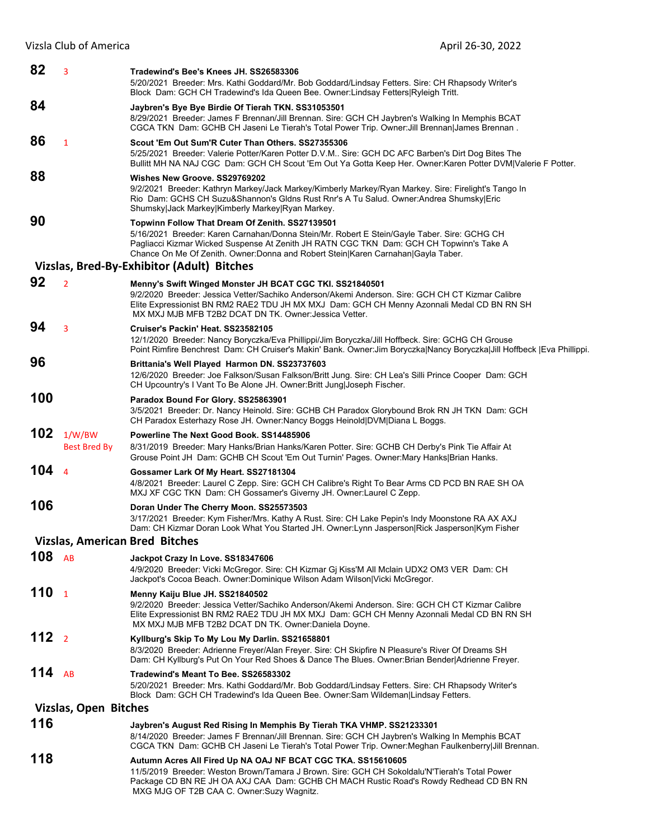| 82               | 3                             | Tradewind's Bee's Knees JH. SS26583306<br>5/20/2021 Breeder: Mrs. Kathi Goddard/Mr. Bob Goddard/Lindsay Fetters. Sire: CH Rhapsody Writer's<br>Block Dam: GCH CH Tradewind's Ida Queen Bee. Owner:Lindsay Fetters Ryleigh Tritt.                                                                                              |
|------------------|-------------------------------|-------------------------------------------------------------------------------------------------------------------------------------------------------------------------------------------------------------------------------------------------------------------------------------------------------------------------------|
| 84               |                               | Jaybren's Bye Bye Birdie Of Tierah TKN. SS31053501<br>8/29/2021 Breeder: James F Brennan/Jill Brennan. Sire: GCH CH Jaybren's Walking In Memphis BCAT<br>CGCA TKN Dam: GCHB CH Jaseni Le Tierah's Total Power Trip. Owner: Jill Brennan James Brennan.                                                                        |
| 86               | 1                             | Scout 'Em Out Sum'R Cuter Than Others. SS27355306<br>5/25/2021 Breeder: Valerie Potter/Karen Potter D.V.M Sire: GCH DC AFC Barben's Dirt Dog Bites The<br>Bullitt MH NA NAJ CGC Dam: GCH CH Scout 'Em Out Ya Gotta Keep Her. Owner:Karen Potter DVM Valerie F Potter.                                                         |
| 88               |                               | Wishes New Groove, SS29769202<br>9/2/2021 Breeder: Kathryn Markey/Jack Markey/Kimberly Markey/Ryan Markey. Sire: Firelight's Tango In<br>Rio Dam: GCHS CH Suzu&Shannon's Gldns Rust Rnr's A Tu Salud. Owner:Andrea Shumsky Eric<br>Shumsky Jack Markey Kimberly Markey Ryan Markey.                                           |
| 90               |                               | Topwinn Follow That Dream Of Zenith. SS27139501<br>5/16/2021 Breeder: Karen Carnahan/Donna Stein/Mr. Robert E Stein/Gayle Taber. Sire: GCHG CH<br>Pagliacci Kizmar Wicked Suspense At Zenith JH RATN CGC TKN Dam: GCH CH Topwinn's Take A<br>Chance On Me Of Zenith. Owner:Donna and Robert Stein Karen Carnahan Gayla Taber. |
|                  |                               | Vizslas, Bred-By-Exhibitor (Adult) Bitches                                                                                                                                                                                                                                                                                    |
| 92               | $\overline{2}$                | Menny's Swift Winged Monster JH BCAT CGC TKI. SS21840501<br>9/2/2020 Breeder: Jessica Vetter/Sachiko Anderson/Akemi Anderson. Sire: GCH CH CT Kizmar Calibre<br>Elite Expressionist BN RM2 RAE2 TDU JH MX MXJ Dam: GCH CH Menny Azonnali Medal CD BN RN SH<br>MX MXJ MJB MFB T2B2 DCAT DN TK. Owner Jessica Vetter.           |
| 94               | 3                             | Cruiser's Packin' Heat. SS23582105<br>12/1/2020 Breeder: Nancy Boryczka/Eva Phillippi/Jim Boryczka/Jill Hoffbeck. Sire: GCHG CH Grouse<br>Point Rimfire Benchrest Dam: CH Cruiser's Makin' Bank. Owner: Jim Boryczka Nancy Boryczka Jill Hoffbeck  Eva Phillippi.                                                             |
| 96               |                               | Brittania's Well Played Harmon DN. SS23737603<br>12/6/2020 Breeder: Joe Falkson/Susan Falkson/Britt Jung. Sire: CH Lea's Silli Prince Cooper Dam: GCH<br>CH Upcountry's I Vant To Be Alone JH. Owner: Britt Jung Joseph Fischer.                                                                                              |
| 100              |                               | Paradox Bound For Glory. SS25863901<br>3/5/2021 Breeder: Dr. Nancy Heinold. Sire: GCHB CH Paradox Glorybound Brok RN JH TKN Dam: GCH<br>CH Paradox Esterhazy Rose JH. Owner:Nancy Boggs Heinold DVM Diana L Boggs.                                                                                                            |
| 102              | 1/W/BW<br><b>Best Bred By</b> | Powerline The Next Good Book, SS14485906<br>8/31/2019 Breeder: Mary Hanks/Brian Hanks/Karen Potter. Sire: GCHB CH Derby's Pink Tie Affair At<br>Grouse Point JH Dam: GCHB CH Scout 'Em Out Turnin' Pages. Owner: Mary Hanks Brian Hanks.                                                                                      |
| 104              | $\overline{4}$                | Gossamer Lark Of My Heart. SS27181304<br>4/8/2021 Breeder: Laurel C Zepp. Sire: GCH CH Calibre's Right To Bear Arms CD PCD BN RAE SH OA<br>MXJ XF CGC TKN Dam: CH Gossamer's Giverny JH. Owner:Laurel C Zepp.                                                                                                                 |
| 106              |                               | Doran Under The Cherry Moon. SS25573503<br>3/17/2021 Breeder: Kym Fisher/Mrs. Kathy A Rust. Sire: CH Lake Pepin's Indy Moonstone RA AX AXJ<br>Dam: CH Kizmar Doran Look What You Started JH. Owner: Lynn Jasperson Rick Jasperson Kym Fisher                                                                                  |
|                  |                               | <b>Vizslas, American Bred Bitches</b>                                                                                                                                                                                                                                                                                         |
| 108              | AB                            | Jackpot Crazy In Love. SS18347606<br>4/9/2020 Breeder: Vicki McGregor. Sire: CH Kizmar Gj Kiss'M All Mclain UDX2 OM3 VER Dam: CH<br>Jackpot's Cocoa Beach. Owner:Dominique Wilson Adam Wilson Vicki McGregor.                                                                                                                 |
| 110 <sub>1</sub> |                               | Menny Kaiju Blue JH. SS21840502<br>9/2/2020 Breeder: Jessica Vetter/Sachiko Anderson/Akemi Anderson. Sire: GCH CH CT Kizmar Calibre<br>Elite Expressionist BN RM2 RAE2 TDU JH MX MXJ Dam: GCH CH Menny Azonnali Medal CD BN RN SH<br>MX MXJ MJB MFB T2B2 DCAT DN TK. Owner: Daniela Doyne.                                    |
| 112 <sub>2</sub> |                               | Kyllburg's Skip To My Lou My Darlin. SS21658801<br>8/3/2020 Breeder: Adrienne Freyer/Alan Freyer. Sire: CH Skipfire N Pleasure's River Of Dreams SH<br>Dam: CH Kyllburg's Put On Your Red Shoes & Dance The Blues. Owner: Brian Bender Adrienne Freyer.                                                                       |
| 114              | AB                            | Tradewind's Meant To Bee. SS26583302<br>5/20/2021 Breeder: Mrs. Kathi Goddard/Mr. Bob Goddard/Lindsay Fetters. Sire: CH Rhapsody Writer's<br>Block Dam: GCH CH Tradewind's Ida Queen Bee. Owner:Sam Wildeman Lindsay Fetters.                                                                                                 |
|                  | Vizslas, Open Bitches         |                                                                                                                                                                                                                                                                                                                               |
| 116              |                               | Jaybren's August Red Rising In Memphis By Tierah TKA VHMP. SS21233301<br>8/14/2020 Breeder: James F Brennan/Jill Brennan. Sire: GCH CH Jaybren's Walking In Memphis BCAT<br>CGCA TKN Dam: GCHB CH Jaseni Le Tierah's Total Power Trip. Owner: Meghan Faulkenberry Jill Brennan.                                               |
| 118              |                               | Autumn Acres All Fired Up NA OAJ NF BCAT CGC TKA. SS15610605<br>11/5/2019 Breeder: Weston Brown/Tamara J Brown. Sire: GCH CH Sokoldalu'N'Tierah's Total Power<br>Package CD BN RE JH OA AXJ CAA Dam: GCHB CH MACH Rustic Road's Rowdy Redhead CD BN RN<br>MXG MJG OF T2B CAA C. Owner: Suzy Wagnitz.                          |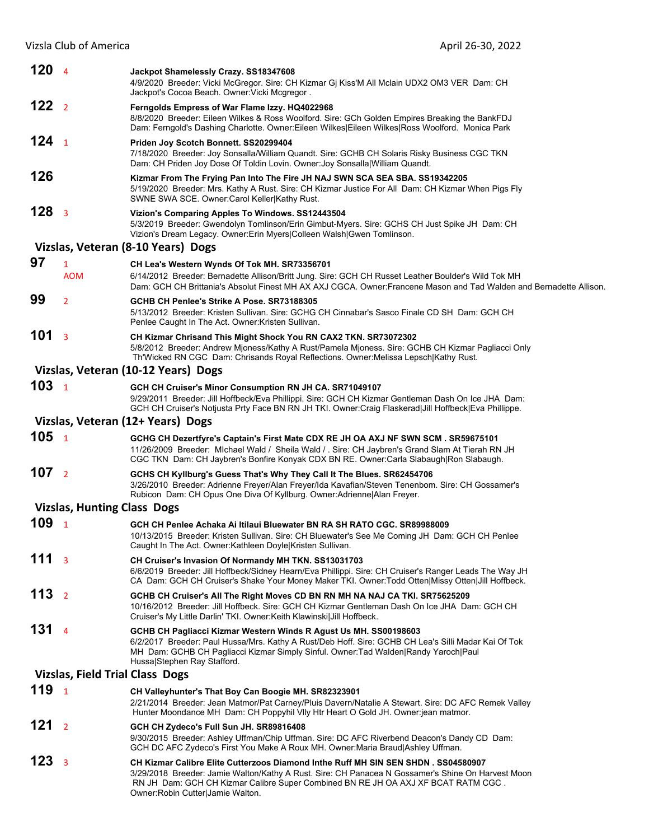Vizsla Club of America April 26-30, 2022

| 120 <sub>4</sub>        |                                        | Jackpot Shamelessly Crazy. SS18347608<br>4/9/2020 Breeder: Vicki McGregor. Sire: CH Kizmar Gj Kiss'M All Mclain UDX2 OM3 VER Dam: CH<br>Jackpot's Cocoa Beach. Owner Vicki Mcgregor.                                                                                                          |
|-------------------------|----------------------------------------|-----------------------------------------------------------------------------------------------------------------------------------------------------------------------------------------------------------------------------------------------------------------------------------------------|
| 122 <sub>2</sub>        |                                        | Ferngolds Empress of War Flame Izzy. HQ4022968<br>8/8/2020 Breeder: Eileen Wilkes & Ross Woolford. Sire: GCh Golden Empires Breaking the BankFDJ<br>Dam: Ferngold's Dashing Charlotte. Owner:Eileen Wilkes Eileen Wilkes Ross Woolford. Monica Park                                           |
| 124 <sub>1</sub>        |                                        | Priden Joy Scotch Bonnett. SS20299404<br>7/18/2020 Breeder: Joy Sonsalla/William Quandt. Sire: GCHB CH Solaris Risky Business CGC TKN<br>Dam: CH Priden Joy Dose Of Toldin Lovin. Owner: Joy Sonsalla   William Quandt.                                                                       |
| 126                     |                                        | Kizmar From The Frying Pan Into The Fire JH NAJ SWN SCA SEA SBA. SS19342205<br>5/19/2020 Breeder: Mrs. Kathy A Rust. Sire: CH Kizmar Justice For All Dam: CH Kizmar When Pigs Fly<br>SWNE SWA SCE. Owner: Carol Keller Kathy Rust.                                                            |
| 128 <sub>3</sub>        |                                        | Vizion's Comparing Apples To Windows. SS12443504<br>5/3/2019 Breeder: Gwendolyn Tomlinson/Erin Gimbut-Myers. Sire: GCHS CH Just Spike JH Dam: CH<br>Vizion's Dream Legacy. Owner: Erin Myers Colleen Walsh Gwen Tomlinson.                                                                    |
|                         |                                        | Vizslas, Veteran (8-10 Years) Dogs                                                                                                                                                                                                                                                            |
| 97                      | $\mathbf{1}$                           | CH Lea's Western Wynds Of Tok MH. SR73356701                                                                                                                                                                                                                                                  |
|                         | <b>AOM</b>                             | 6/14/2012 Breeder: Bernadette Allison/Britt Jung. Sire: GCH CH Russet Leather Boulder's Wild Tok MH<br>Dam: GCH CH Brittania's Absolut Finest MH AX AXJ CGCA. Owner:Francene Mason and Tad Walden and Bernadette Allison.                                                                     |
| 99                      | $\overline{2}$                         | GCHB CH Penlee's Strike A Pose, SR73188305<br>5/13/2012 Breeder: Kristen Sullivan. Sire: GCHG CH Cinnabar's Sasco Finale CD SH Dam: GCH CH<br>Penlee Caught In The Act. Owner: Kristen Sullivan.                                                                                              |
| 101                     | $\overline{\mathbf{3}}$                | CH Kizmar Chrisand This Might Shock You RN CAX2 TKN. SR73072302<br>5/8/2012 Breeder: Andrew Mjoness/Kathy A Rust/Pamela Mjoness. Sire: GCHB CH Kizmar Pagliacci Only<br>Th'Wicked RN CGC Dam: Chrisands Royal Reflections. Owner: Melissa Lepsch Kathy Rust.                                  |
|                         |                                        | Vizslas, Veteran (10-12 Years) Dogs                                                                                                                                                                                                                                                           |
| 103 <sub>1</sub>        |                                        | GCH CH Cruiser's Minor Consumption RN JH CA. SR71049107<br>9/29/2011 Breeder: Jill Hoffbeck/Eva Phillippi. Sire: GCH CH Kizmar Gentleman Dash On Ice JHA Dam:<br>GCH CH Cruiser's Notjusta Prty Face BN RN JH TKI. Owner:Craig Flaskerad Jill Hoffbeck Eva Phillippe.                         |
|                         |                                        | Vizslas, Veteran (12+ Years) Dogs                                                                                                                                                                                                                                                             |
| 105 <sub>1</sub>        |                                        | GCHG CH Dezertfyre's Captain's First Mate CDX RE JH OA AXJ NF SWN SCM. SR59675101<br>11/26/2009 Breeder: Michael Wald / Sheila Wald / . Sire: CH Jaybren's Grand Slam At Tierah RN JH<br>CGC TKN Dam: CH Jaybren's Bonfire Konyak CDX BN RE. Owner:Carla Slabaugh Ron Slabaugh.               |
| 107 <sub>2</sub>        |                                        | GCHS CH Kyllburg's Guess That's Why They Call It The Blues. SR62454706<br>3/26/2010 Breeder: Adrienne Freyer/Alan Freyer/Ida Kavafian/Steven Tenenbom. Sire: CH Gossamer's<br>Rubicon Dam: CH Opus One Diva Of Kyllburg. Owner: Adrienne   Alan Freyer.                                       |
|                         |                                        |                                                                                                                                                                                                                                                                                               |
|                         | <b>Vizslas, Hunting Class Dogs</b>     |                                                                                                                                                                                                                                                                                               |
| 109 <sub>1</sub>        |                                        | GCH CH Penlee Achaka Ai Itilaui Bluewater BN RA SH RATO CGC. SR89988009<br>10/13/2015 Breeder: Kristen Sullivan. Sire: CH Bluewater's See Me Coming JH Dam: GCH CH Penlee<br>Caught In The Act. Owner: Kathleen Doyle Kristen Sullivan.                                                       |
| 111 <sub>3</sub>        |                                        | CH Cruiser's Invasion Of Normandy MH TKN. SS13031703<br>6/6/2019 Breeder: Jill Hoffbeck/Sidney Hearn/Eva Phillippi. Sire: CH Cruiser's Ranger Leads The Way JH<br>CA Dam: GCH CH Cruiser's Shake Your Money Maker TKI. Owner: Todd Otten Missy Otten Jill Hoffbeck.                           |
| 113 <sub>2</sub>        |                                        | GCHB CH Cruiser's All The Right Moves CD BN RN MH NA NAJ CA TKI. SR75625209<br>10/16/2012 Breeder: Jill Hoffbeck. Sire: GCH CH Kizmar Gentleman Dash On Ice JHA Dam: GCH CH<br>Cruiser's My Little Darlin' TKI. Owner: Keith Klawinski  Jill Hoffbeck.                                        |
| 131 <sub>4</sub>        |                                        | GCHB CH Pagliacci Kizmar Western Winds R Agust Us MH. SS00198603<br>6/2/2017 Breeder: Paul Hussa/Mrs. Kathy A Rust/Deb Hoff. Sire: GCHB CH Lea's Silli Madar Kai Of Tok<br>MH Dam: GCHB CH Pagliacci Kizmar Simply Sinful. Owner: Tad Walden Randy Yaroch Paul<br>Hussa Stephen Ray Stafford. |
|                         | <b>Vizslas, Field Trial Class Dogs</b> |                                                                                                                                                                                                                                                                                               |
| 119 <sub>1</sub>        |                                        | CH Valleyhunter's That Boy Can Boogie MH. SR82323901<br>2/21/2014 Breeder: Jean Matmor/Pat Carney/Pluis Davern/Natalie A Stewart. Sire: DC AFC Remek Valley<br>Hunter Moondance MH Dam: CH Poppyhil VIIy Htr Heart O Gold JH. Owner:jean matmor.                                              |
| 121<br>123 <sub>3</sub> | $\overline{2}$                         | GCH CH Zydeco's Full Sun JH. SR89816408<br>9/30/2015 Breeder: Ashley Uffman/Chip Uffman. Sire: DC AFC Riverbend Deacon's Dandy CD Dam:<br>GCH DC AFC Zydeco's First You Make A Roux MH. Owner: Maria Braud Ashley Uffman.                                                                     |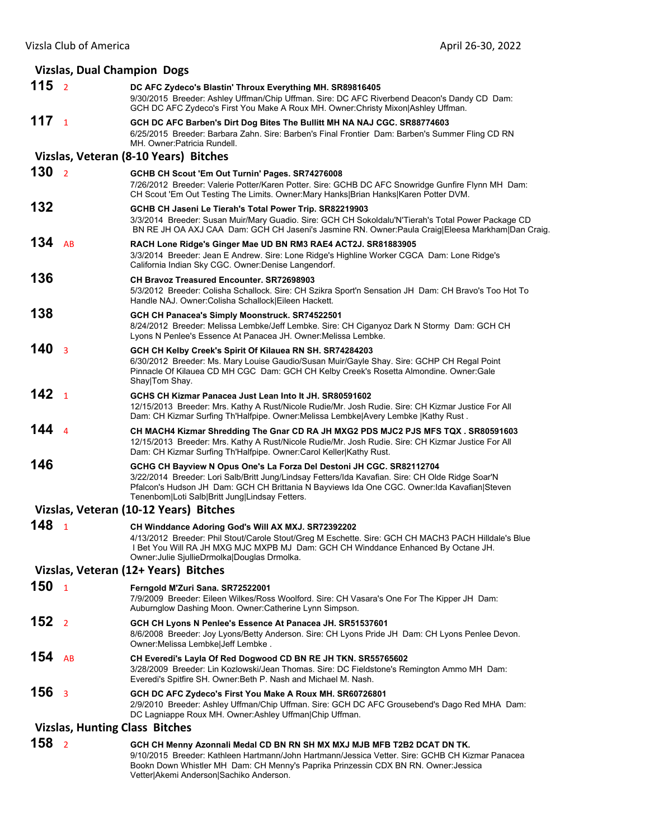## **Vizslas, Dual Champion Dogs 115** <sup>2</sup> **DC AFC Zydeco's Blastin' Throux Everything MH. SR89816405** 9/30/2015 Breeder: Ashley Uffman/Chip Uffman. Sire: DC AFC Riverbend Deacon's Dandy CD Dam: GCH DC AFC Zydeco's First You Make A Roux MH. Owner:Christy Mixon|Ashley Uffman. **117** <sup>1</sup> **GCH DC AFC Barben's Dirt Dog Bites The Bullitt MH NA NAJ CGC. SR88774603** 6/25/2015 Breeder: Barbara Zahn. Sire: Barben's Final Frontier Dam: Barben's Summer Fling CD RN MH. Owner:Patricia Rundell. **Vizslas, Veteran (8‐10 Years) Bitches 130** <sup>2</sup> **GCHB CH Scout 'Em Out Turnin' Pages. SR74276008** 7/26/2012 Breeder: Valerie Potter/Karen Potter. Sire: GCHB DC AFC Snowridge Gunfire Flynn MH Dam: CH Scout 'Em Out Testing The Limits. Owner:Mary Hanks|Brian Hanks|Karen Potter DVM. **132 GCHB CH Jaseni Le Tierah's Total Power Trip. SR82219903** 3/3/2014 Breeder: Susan Muir/Mary Guadio. Sire: GCH CH Sokoldalu'N'Tierah's Total Power Package CD BN RE JH OA AXJ CAA Dam: GCH CH Jaseni's Jasmine RN. Owner:Paula Craig|Eleesa Markham|Dan Craig. **134** AB **RACH Lone Ridge's Ginger Mae UD BN RM3 RAE4 ACT2J. SR81883905** 3/3/2014 Breeder: Jean E Andrew. Sire: Lone Ridge's Highline Worker CGCA Dam: Lone Ridge's California Indian Sky CGC. Owner:Denise Langendorf. **136 CH Bravoz Treasured Encounter. SR72698903** 5/3/2012 Breeder: Colisha Schallock. Sire: CH Szikra Sport'n Sensation JH Dam: CH Bravo's Too Hot To Handle NAJ. Owner:Colisha Schallock|Eileen Hackett. **138 GCH CH Panacea's Simply Moonstruck. SR74522501** 8/24/2012 Breeder: Melissa Lembke/Jeff Lembke. Sire: CH Ciganyoz Dark N Stormy Dam: GCH CH Lyons N Penlee's Essence At Panacea JH. Owner:Melissa Lembke. **140** <sup>3</sup> **GCH CH Kelby Creek's Spirit Of Kilauea RN SH. SR74284203** 6/30/2012 Breeder: Ms. Mary Louise Gaudio/Susan Muir/Gayle Shay. Sire: GCHP CH Regal Point Pinnacle Of Kilauea CD MH CGC Dam: GCH CH Kelby Creek's Rosetta Almondine. Owner:Gale Shay|Tom Shay. **142** <sup>1</sup> **GCHS CH Kizmar Panacea Just Lean Into It JH. SR80591602** 12/15/2013 Breeder: Mrs. Kathy A Rust/Nicole Rudie/Mr. Josh Rudie. Sire: CH Kizmar Justice For All Dam: CH Kizmar Surfing Th'Halfpipe. Owner:Melissa Lembke|Avery Lembke |Kathy Rust. **144** <sup>4</sup> **CH MACH4 Kizmar Shredding The Gnar CD RA JH MXG2 PDS MJC2 PJS MFS TQX . SR80591603** 12/15/2013 Breeder: Mrs. Kathy A Rust/Nicole Rudie/Mr. Josh Rudie. Sire: CH Kizmar Justice For All Dam: CH Kizmar Surfing Th'Halfpipe. Owner:Carol Keller|Kathy Rust. **146 GCHG CH Bayview N Opus One's La Forza Del Destoni JH CGC. SR82112704** 3/22/2014 Breeder: Lori Salb/Britt Jung/Lindsay Fetters/Ida Kavafian. Sire: CH Olde Ridge Soar'N Pfalcon's Hudson JH Dam: GCH CH Brittania N Bayviews Ida One CGC. Owner:Ida Kavafian|Steven Tenenbom|Loti Salb|Britt Jung|Lindsay Fetters. **Vizslas, Veteran (10‐12 Years) Bitches 148** <sup>1</sup> **CH Winddance Adoring God's Will AX MXJ. SR72392202** 4/13/2012 Breeder: Phil Stout/Carole Stout/Greg M Eschette. Sire: GCH CH MACH3 PACH Hilldale's Blue I Bet You Will RA JH MXG MJC MXPB MJ Dam: GCH CH Winddance Enhanced By Octane JH. Owner:Julie SjullieDrmolka|Douglas Drmolka. **Vizslas, Veteran (12+ Years) Bitches 150** <sup>1</sup> **Ferngold M'Zuri Sana. SR72522001** 7/9/2009 Breeder: Eileen Wilkes/Ross Woolford. Sire: CH Vasara's One For The Kipper JH Dam: Auburnglow Dashing Moon. Owner:Catherine Lynn Simpson. **152** <sup>2</sup> **GCH CH Lyons N Penlee's Essence At Panacea JH. SR51537601** 8/6/2008 Breeder: Joy Lyons/Betty Anderson. Sire: CH Lyons Pride JH Dam: CH Lyons Penlee Devon. Owner:Melissa Lembke|Jeff Lembke . **154** AB **CH Everedi's Layla Of Red Dogwood CD BN RE JH TKN. SR55765602** 3/28/2009 Breeder: Lin Kozlowski/Jean Thomas. Sire: DC Fieldstone's Remington Ammo MH Dam: Everedi's Spitfire SH. Owner:Beth P. Nash and Michael M. Nash. **156** <sup>3</sup> **GCH DC AFC Zydeco's First You Make A Roux MH. SR60726801** 2/9/2010 Breeder: Ashley Uffman/Chip Uffman. Sire: GCH DC AFC Grousebend's Dago Red MHA Dam: DC Lagniappe Roux MH. Owner:Ashley Uffman|Chip Uffman.

## **Vizslas, Hunting Class Bitches**

**158** <sup>2</sup> **GCH CH Menny Azonnali Medal CD BN RN SH MX MXJ MJB MFB T2B2 DCAT DN TK.**  9/10/2015 Breeder: Kathleen Hartmann/John Hartmann/Jessica Vetter. Sire: GCHB CH Kizmar Panacea Bookn Down Whistler MH Dam: CH Menny's Paprika Prinzessin CDX BN RN. Owner:Jessica Vetter|Akemi Anderson|Sachiko Anderson.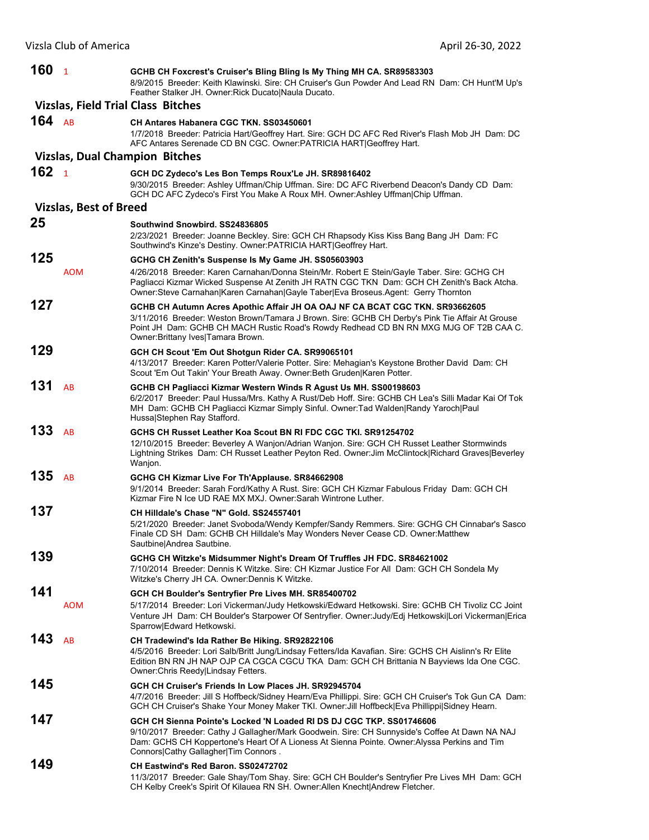| 160      | $\overline{1}$                | GCHB CH Foxcrest's Cruiser's Bling Bling Is My Thing MH CA. SR89583303<br>8/9/2015 Breeder: Keith Klawinski. Sire: CH Cruiser's Gun Powder And Lead RN Dam: CH Hunt'M Up's<br>Feather Stalker JH. Owner: Rick Ducato   Naula Ducato.                                                                           |
|----------|-------------------------------|----------------------------------------------------------------------------------------------------------------------------------------------------------------------------------------------------------------------------------------------------------------------------------------------------------------|
|          |                               | <b>Vizslas, Field Trial Class Bitches</b>                                                                                                                                                                                                                                                                      |
| 164 $AB$ |                               | CH Antares Habanera CGC TKN, SS03450601<br>1/7/2018 Breeder: Patricia Hart/Geoffrey Hart. Sire: GCH DC AFC Red River's Flash Mob JH Dam: DC<br>AFC Antares Serenade CD BN CGC. Owner: PATRICIA HART Geoffrey Hart.                                                                                             |
|          |                               | <b>Vizslas, Dual Champion Bitches</b>                                                                                                                                                                                                                                                                          |
| 162      | $\overline{1}$                | GCH DC Zydeco's Les Bon Temps Roux'Le JH. SR89816402<br>9/30/2015 Breeder: Ashley Uffman/Chip Uffman. Sire: DC AFC Riverbend Deacon's Dandy CD Dam:<br>GCH DC AFC Zydeco's First You Make A Roux MH. Owner:Ashley Uffman Chip Uffman.                                                                          |
|          | <b>Vizslas, Best of Breed</b> |                                                                                                                                                                                                                                                                                                                |
| 25       |                               | Southwind Snowbird, SS24836805<br>2/23/2021 Breeder: Joanne Beckley. Sire: GCH CH Rhapsody Kiss Kiss Bang Bang JH Dam: FC<br>Southwind's Kinze's Destiny. Owner:PATRICIA HART Geoffrey Hart.                                                                                                                   |
| 125      |                               | GCHG CH Zenith's Suspense Is My Game JH. SS05603903                                                                                                                                                                                                                                                            |
|          | <b>AOM</b>                    | 4/26/2018 Breeder: Karen Carnahan/Donna Stein/Mr. Robert E Stein/Gayle Taber. Sire: GCHG CH<br>Pagliacci Kizmar Wicked Suspense At Zenith JH RATN CGC TKN Dam: GCH CH Zenith's Back Atcha.<br>Owner:Steve Carnahan Karen Carnahan Gayle Taber Eva Broseus.Agent: Gerry Thornton                                |
| 127      |                               | GCHB CH Autumn Acres Apothic Affair JH OA OAJ NF CA BCAT CGC TKN. SR93662605<br>3/11/2016 Breeder: Weston Brown/Tamara J Brown. Sire: GCHB CH Derby's Pink Tie Affair At Grouse<br>Point JH Dam: GCHB CH MACH Rustic Road's Rowdy Redhead CD BN RN MXG MJG OF T2B CAA C.<br>Owner: Brittany Ives Tamara Brown. |
| 129      |                               | GCH CH Scout 'Em Out Shotgun Rider CA. SR99065101<br>4/13/2017 Breeder: Karen Potter/Valerie Potter. Sire: Mehagian's Keystone Brother David Dam: CH<br>Scout 'Em Out Takin' Your Breath Away. Owner: Beth Gruden Karen Potter.                                                                                |
| 131      | AB                            | GCHB CH Pagliacci Kizmar Western Winds R Agust Us MH. SS00198603<br>6/2/2017 Breeder: Paul Hussa/Mrs. Kathy A Rust/Deb Hoff. Sire: GCHB CH Lea's Silli Madar Kai Of Tok<br>MH Dam: GCHB CH Pagliacci Kizmar Simply Sinful. Owner: Tad Walden Randy Yaroch Paul<br>Hussa Stephen Ray Stafford.                  |
| 133      | AB                            | GCHS CH Russet Leather Koa Scout BN RI FDC CGC TKI, SR91254702<br>12/10/2015 Breeder: Beverley A Wanjon/Adrian Wanjon. Sire: GCH CH Russet Leather Stormwinds<br>Lightning Strikes Dam: CH Russet Leather Peyton Red. Owner: Jim McClintock Richard Graves Beverley<br>Wanjon.                                 |
| 135      | AB                            | GCHG CH Kizmar Live For Th'Applause. SR84662908<br>9/1/2014 Breeder: Sarah Ford/Kathy A Rust. Sire: GCH CH Kizmar Fabulous Friday Dam: GCH CH<br>Kizmar Fire N Ice UD RAE MX MXJ, Owner:Sarah Wintrone Luther.                                                                                                 |
| 137      |                               | CH Hilldale's Chase "N" Gold. SS24557401<br>5/21/2020 Breeder: Janet Svoboda/Wendy Kempfer/Sandy Remmers. Sire: GCHG CH Cinnabar's Sasco<br>Finale CD SH Dam: GCHB CH Hilldale's May Wonders Never Cease CD. Owner:Matthew<br>Sautbine Andrea Sautbine.                                                        |
| 139      |                               | GCHG CH Witzke's Midsummer Night's Dream Of Truffles JH FDC. SR84621002<br>7/10/2014 Breeder: Dennis K Witzke. Sire: CH Kizmar Justice For All Dam: GCH CH Sondela My<br>Witzke's Cherry JH CA. Owner: Dennis K Witzke.                                                                                        |
| 141      | <b>AOM</b>                    | GCH CH Boulder's Sentryfier Pre Lives MH. SR85400702<br>5/17/2014 Breeder: Lori Vickerman/Judy Hetkowski/Edward Hetkowski. Sire: GCHB CH Tivoliz CC Joint<br>Venture JH Dam: CH Boulder's Starpower Of Sentryfier. Owner: Judy/Edj HetkowskilLori Vickerman Erica<br>Sparrow Edward Hetkowski.                 |
| 143      | AB                            | CH Tradewind's Ida Rather Be Hiking. SR92822106<br>4/5/2016 Breeder: Lori Salb/Britt Jung/Lindsay Fetters/Ida Kavafian. Sire: GCHS CH Aislinn's Rr Elite<br>Edition BN RN JH NAP OJP CA CGCA CGCU TKA Dam: GCH CH Brittania N Bayviews Ida One CGC.<br>Owner: Chris Reedy Lindsay Fetters.                     |
| 145      |                               | GCH CH Cruiser's Friends In Low Places JH. SR92945704<br>4/7/2016 Breeder: Jill S Hoffbeck/Sidney Hearn/Eva Phillippi. Sire: GCH CH Cruiser's Tok Gun CA Dam:<br>GCH CH Cruiser's Shake Your Money Maker TKI. Owner: Jill Hoffbeck Eva Phillippi Sidney Hearn.                                                 |
| 147      |                               | GCH CH Sienna Pointe's Locked 'N Loaded RI DS DJ CGC TKP, SS01746606<br>9/10/2017 Breeder: Cathy J Gallagher/Mark Goodwein. Sire: CH Sunnyside's Coffee At Dawn NA NAJ<br>Dam: GCHS CH Koppertone's Heart Of A Lioness At Sienna Pointe. Owner:Alyssa Perkins and Tim<br>Connors Cathy Gallagher Tim Connors.  |
| 149      |                               | CH Eastwind's Red Baron, SS02472702<br>11/3/2017 Breeder: Gale Shay/Tom Shay. Sire: GCH CH Boulder's Sentryfier Pre Lives MH Dam: GCH<br>CH Kelby Creek's Spirit Of Kilauea RN SH. Owner: Allen Knecht Andrew Fletcher.                                                                                        |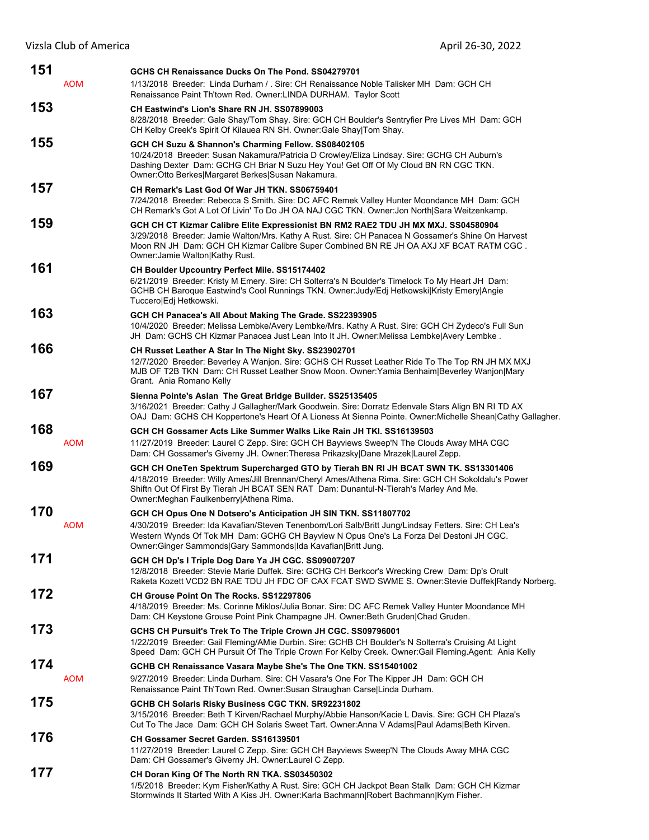| 151 | <b>AOM</b> | GCHS CH Renaissance Ducks On The Pond, SS04279701<br>1/13/2018 Breeder: Linda Durham / . Sire: CH Renaissance Noble Talisker MH Dam: GCH CH<br>Renaissance Paint Th'town Red. Owner: LINDA DURHAM. Taylor Scott                                                                                                                   |
|-----|------------|-----------------------------------------------------------------------------------------------------------------------------------------------------------------------------------------------------------------------------------------------------------------------------------------------------------------------------------|
| 153 |            | CH Eastwind's Lion's Share RN JH. SS07899003<br>8/28/2018 Breeder: Gale Shay/Tom Shay. Sire: GCH CH Boulder's Sentryfier Pre Lives MH Dam: GCH<br>CH Kelby Creek's Spirit Of Kilauea RN SH. Owner: Gale Shay Tom Shay.                                                                                                            |
| 155 |            | GCH CH Suzu & Shannon's Charming Fellow. SS08402105<br>10/24/2018 Breeder: Susan Nakamura/Patricia D Crowley/Eliza Lindsay. Sire: GCHG CH Auburn's<br>Dashing Dexter Dam: GCHG CH Briar N Suzu Hey You! Get Off Of My Cloud BN RN CGC TKN.<br>Owner: Otto Berkes Margaret Berkes Susan Nakamura.                                  |
| 157 |            | CH Remark's Last God Of War JH TKN, SS06759401<br>7/24/2018 Breeder: Rebecca S Smith. Sire: DC AFC Remek Valley Hunter Moondance MH Dam: GCH<br>CH Remark's Got A Lot Of Livin' To Do JH OA NAJ CGC TKN. Owner: Jon North Sara Weitzenkamp.                                                                                       |
| 159 |            | GCH CH CT Kizmar Calibre Elite Expressionist BN RM2 RAE2 TDU JH MX MXJ. SS04580904<br>3/29/2018 Breeder: Jamie Walton/Mrs. Kathy A Rust. Sire: CH Panacea N Gossamer's Shine On Harvest<br>Moon RN JH Dam: GCH CH Kizmar Calibre Super Combined BN RE JH OA AXJ XF BCAT RATM CGC.<br>Owner: Jamie Walton Kathy Rust.              |
| 161 |            | CH Boulder Upcountry Perfect Mile. SS15174402<br>6/21/2019 Breeder: Kristy M Emery. Sire: CH Solterra's N Boulder's Timelock To My Heart JH Dam:<br>GCHB CH Baroque Eastwind's Cool Runnings TKN. Owner: Judy/Edj Hetkowski Kristy Emery Angie<br>Tuccero Edj Hetkowski.                                                          |
| 163 |            | GCH CH Panacea's All About Making The Grade. SS22393905<br>10/4/2020 Breeder: Melissa Lembke/Avery Lembke/Mrs. Kathy A Rust. Sire: GCH CH Zydeco's Full Sun<br>JH Dam: GCHS CH Kizmar Panacea Just Lean Into It JH. Owner: Melissa Lembke Avery Lembke.                                                                           |
| 166 |            | CH Russet Leather A Star In The Night Sky. SS23902701<br>12/7/2020 Breeder: Beverley A Wanjon. Sire: GCHS CH Russet Leather Ride To The Top RN JH MX MXJ<br>MJB OF T2B TKN Dam: CH Russet Leather Snow Moon. Owner: Yamia Benhaim Beverley Wanjon Mary<br>Grant. Ania Romano Kelly                                                |
| 167 |            | Sienna Pointe's Aslan The Great Bridge Builder. SS25135405<br>3/16/2021 Breeder: Cathy J Gallagher/Mark Goodwein. Sire: Dorratz Edenvale Stars Align BN RI TD AX<br>OAJ Dam: GCHS CH Koppertone's Heart Of A Lioness At Sienna Pointe. Owner: Michelle Shean Cathy Gallagher.                                                     |
| 168 |            | GCH CH Gossamer Acts Like Summer Walks Like Rain JH TKI. SS16139503                                                                                                                                                                                                                                                               |
|     | <b>AOM</b> | 11/27/2019 Breeder: Laurel C Zepp. Sire: GCH CH Bayviews Sweep'N The Clouds Away MHA CGC<br>Dam: CH Gossamer's Giverny JH. Owner: Theresa Prikazsky Dane Mrazek Laurel Zepp.                                                                                                                                                      |
| 169 |            | GCH CH OneTen Spektrum Supercharged GTO by Tierah BN RI JH BCAT SWN TK. SS13301406<br>4/18/2019 Breeder: Willy Ames/Jill Brennan/Cheryl Ames/Athena Rima. Sire: GCH CH Sokoldalu's Power<br>Shiftn Out Of First By Tierah JH BCAT SEN RAT Dam: Dunantul-N-Tierah's Marley And Me.<br>Owner: Meghan Faulkenberry Athena Rima.      |
| 170 | <b>AOM</b> | GCH CH Opus One N Dotsero's Anticipation JH SIN TKN. SS11807702<br>4/30/2019 Breeder: Ida Kavafian/Steven Tenenbom/Lori Salb/Britt Jung/Lindsay Fetters. Sire: CH Lea's<br>Western Wynds Of Tok MH Dam: GCHG CH Bayview N Opus One's La Forza Del Destoni JH CGC.<br>Owner:Ginger Sammonds Gary Sammonds Ida Kavafian Britt Jung. |
| 171 |            | GCH CH Dp's I Triple Dog Dare Ya JH CGC. SS09007207<br>12/8/2018 Breeder: Stevie Marie Duffek. Sire: GCHG CH Berkcor's Wrecking Crew Dam: Dp's Orult<br>Raketa Kozett VCD2 BN RAE TDU JH FDC OF CAX FCAT SWD SWME S. Owner: Stevie Duffek Randy Norberg.                                                                          |
| 172 |            | CH Grouse Point On The Rocks. SS12297806<br>4/18/2019 Breeder: Ms. Corinne Miklos/Julia Bonar. Sire: DC AFC Remek Valley Hunter Moondance MH<br>Dam: CH Keystone Grouse Point Pink Champagne JH. Owner: Beth Gruden Chad Gruden.                                                                                                  |
| 173 |            | GCHS CH Pursuit's Trek To The Triple Crown JH CGC. SS09796001<br>1/22/2019 Breeder: Gail Fleming/AMie Durbin. Sire: GCHB CH Boulder's N Solterra's Cruising At Light<br>Speed Dam: GCH CH Pursuit Of The Triple Crown For Kelby Creek. Owner: Gail Fleming. Agent: Ania Kelly                                                     |
| 174 | <b>AOM</b> | GCHB CH Renaissance Vasara Maybe She's The One TKN. SS15401002<br>9/27/2019 Breeder: Linda Durham. Sire: CH Vasara's One For The Kipper JH Dam: GCH CH<br>Renaissance Paint Th'Town Red. Owner:Susan Straughan Carse Linda Durham.                                                                                                |
| 175 |            | GCHB CH Solaris Risky Business CGC TKN. SR92231802<br>3/15/2016 Breeder: Beth T Kirven/Rachael Murphy/Abbie Hanson/Kacie L Davis. Sire: GCH CH Plaza's<br>Cut To The Jace Dam: GCH CH Solaris Sweet Tart. Owner: Anna V Adams Paul Adams Beth Kirven.                                                                             |
| 176 |            | CH Gossamer Secret Garden. SS16139501<br>11/27/2019 Breeder: Laurel C Zepp. Sire: GCH CH Bayviews Sweep'N The Clouds Away MHA CGC<br>Dam: CH Gossamer's Giverny JH. Owner:Laurel C Zepp.                                                                                                                                          |
| 177 |            | CH Doran King Of The North RN TKA. SS03450302<br>1/5/2018 Breeder: Kym Fisher/Kathy A Rust. Sire: GCH CH Jackpot Bean Stalk Dam: GCH CH Kizmar<br>Stormwinds It Started With A Kiss JH. Owner: Karla Bachmann Robert Bachmann Kym Fisher.                                                                                         |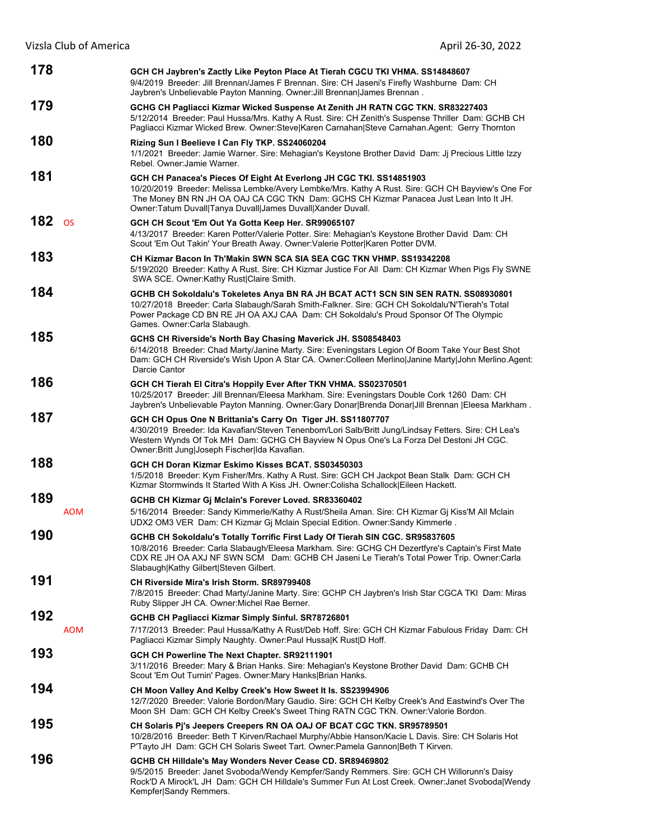| 178 |            | GCH CH Jaybren's Zactly Like Peyton Place At Tierah CGCU TKI VHMA. SS14848607<br>9/4/2019 Breeder: Jill Brennan/James F Brennan. Sire: CH Jaseni's Firefly Washburne Dam: CH<br>Jaybren's Unbelievable Payton Manning. Owner: Jill Brennan James Brennan.                                                                          |
|-----|------------|------------------------------------------------------------------------------------------------------------------------------------------------------------------------------------------------------------------------------------------------------------------------------------------------------------------------------------|
| 179 |            | GCHG CH Pagliacci Kizmar Wicked Suspense At Zenith JH RATN CGC TKN. SR83227403<br>5/12/2014 Breeder: Paul Hussa/Mrs. Kathy A Rust. Sire: CH Zenith's Suspense Thriller Dam: GCHB CH<br>Pagliacci Kizmar Wicked Brew. Owner: Steve Karen Carnahan Steve Carnahan. Agent: Gerry Thornton                                             |
| 180 |            | Rizing Sun I Beelieve I Can Fly TKP. SS24060204<br>1/1/2021 Breeder: Jamie Warner. Sire: Mehagian's Keystone Brother David Dam: Jj Precious Little Izzy<br>Rebel. Owner: Jamie Warner.                                                                                                                                             |
| 181 |            | GCH CH Panacea's Pieces Of Eight At Everlong JH CGC TKI. SS14851903<br>10/20/2019 Breeder: Melissa Lembke/Avery Lembke/Mrs. Kathy A Rust. Sire: GCH CH Bayview's One For<br>The Money BN RN JH OA OAJ CA CGC TKN Dam: GCHS CH Kizmar Panacea Just Lean Into It JH.<br>Owner: Tatum Duvall Tanya Duvall James Duvall Xander Duvall. |
| 182 | <b>OS</b>  | GCH CH Scout 'Em Out Ya Gotta Keep Her. SR99065107<br>4/13/2017 Breeder: Karen Potter/Valerie Potter. Sire: Mehagian's Keystone Brother David Dam: CH<br>Scout 'Em Out Takin' Your Breath Away. Owner: Valerie Potter Karen Potter DVM.                                                                                            |
| 183 |            | CH Kizmar Bacon In Th'Makin SWN SCA SIA SEA CGC TKN VHMP. SS19342208<br>5/19/2020 Breeder: Kathy A Rust. Sire: CH Kizmar Justice For All Dam: CH Kizmar When Pigs Fly SWNE<br>SWA SCE. Owner:Kathy Rust Claire Smith.                                                                                                              |
| 184 |            | GCHB CH Sokoldalu's Tokeletes Anya BN RA JH BCAT ACT1 SCN SIN SEN RATN. SS08930801<br>10/27/2018 Breeder: Carla Slabaugh/Sarah Smith-Falkner. Sire: GCH CH Sokoldalu'N'Tierah's Total<br>Power Package CD BN RE JH OA AXJ CAA Dam: CH Sokoldalu's Proud Sponsor Of The Olympic<br>Games. Owner:Carla Slabaugh.                     |
| 185 |            | GCHS CH Riverside's North Bay Chasing Maverick JH. SS08548403<br>6/14/2018 Breeder: Chad Marty/Janine Marty. Sire: Eveningstars Legion Of Boom Take Your Best Shot<br>Dam: GCH CH Riverside's Wish Upon A Star CA. Owner: Colleen Merlino Janine Marty John Merlino. Agent:<br>Darcie Cantor                                       |
| 186 |            | GCH CH Tierah El Citra's Hoppily Ever After TKN VHMA. SS02370501<br>10/25/2017 Breeder: Jill Brennan/Eleesa Markham. Sire: Eveningstars Double Cork 1260 Dam: CH<br>Jaybren's Unbelievable Payton Manning. Owner:Gary Donar Brenda Donar Jill Brennan  Eleesa Markham.                                                             |
| 187 |            | GCH CH Opus One N Brittania's Carry On Tiger JH. SS11807707<br>4/30/2019 Breeder: Ida Kavafian/Steven Tenenbom/Lori Salb/Britt Jung/Lindsay Fetters. Sire: CH Lea's<br>Western Wynds Of Tok MH Dam: GCHG CH Bayview N Opus One's La Forza Del Destoni JH CGC.<br>Owner: Britt Jung Joseph Fischer Ida Kavafian.                    |
| 188 |            | GCH CH Doran Kizmar Eskimo Kisses BCAT. SS03450303<br>1/5/2018 Breeder: Kym Fisher/Mrs. Kathy A Rust. Sire: GCH CH Jackpot Bean Stalk Dam: GCH CH<br>Kizmar Stormwinds It Started With A Kiss JH. Owner:Colisha Schallock Eileen Hackett.                                                                                          |
| 189 | <b>AOM</b> | GCHB CH Kizmar Gj Mclain's Forever Loved. SR83360402<br>5/16/2014 Breeder: Sandy Kimmerle/Kathy A Rust/Sheila Aman. Sire: CH Kizmar Gj Kiss'M All Mclain<br>UDX2 OM3 VER Dam: CH Kizmar Gj Mclain Special Edition. Owner:Sandy Kimmerle.                                                                                           |
| 190 |            | GCHB CH Sokoldalu's Totally Torrific First Lady Of Tierah SIN CGC. SR95837605<br>10/8/2016 Breeder: Carla Slabaugh/Eleesa Markham. Sire: GCHG CH Dezertfyre's Captain's First Mate<br>CDX RE JH OA AXJ NF SWN SCM Dam: GCHB CH Jaseni Le Tierah's Total Power Trip. Owner:Carla<br>Slabaugh Kathy Gilbert Steven Gilbert.          |
| 191 |            | CH Riverside Mira's Irish Storm. SR89799408<br>7/8/2015 Breeder: Chad Marty/Janine Marty. Sire: GCHP CH Jaybren's Irish Star CGCA TKI Dam: Miras<br>Ruby Slipper JH CA. Owner: Michel Rae Berner.                                                                                                                                  |
| 192 | <b>AOM</b> | GCHB CH Pagliacci Kizmar Simply Sinful. SR78726801<br>7/17/2013 Breeder: Paul Hussa/Kathy A Rust/Deb Hoff. Sire: GCH CH Kizmar Fabulous Friday Dam: CH<br>Pagliacci Kizmar Simply Naughty. Owner: Paul HussalK Rust   D Hoff.                                                                                                      |
| 193 |            | GCH CH Powerline The Next Chapter. SR92111901<br>3/11/2016 Breeder: Mary & Brian Hanks. Sire: Mehagian's Keystone Brother David Dam: GCHB CH<br>Scout 'Em Out Turnin' Pages. Owner: Mary Hanks Brian Hanks.                                                                                                                        |
| 194 |            | CH Moon Valley And Kelby Creek's How Sweet It Is. SS23994906<br>12/7/2020 Breeder: Valorie Bordon/Mary Gaudio. Sire: GCH CH Kelby Creek's And Eastwind's Over The<br>Moon SH Dam: GCH CH Kelby Creek's Sweet Thing RATN CGC TKN. Owner:Valorie Bordon.                                                                             |
| 195 |            | CH Solaris Pj's Jeepers Creepers RN OA OAJ OF BCAT CGC TKN. SR95789501<br>10/28/2016 Breeder: Beth T Kirven/Rachael Murphy/Abbie Hanson/Kacie L Davis. Sire: CH Solaris Hot<br>P'Tayto JH Dam: GCH CH Solaris Sweet Tart. Owner: Pamela Gannon Beth T Kirven.                                                                      |
| 196 |            | GCHB CH Hilldale's May Wonders Never Cease CD. SR89469802<br>9/5/2015 Breeder: Janet Svoboda/Wendy Kempfer/Sandy Remmers. Sire: GCH CH Willorunn's Daisy<br>Rock'D A Mirock'L JH Dam: GCH CH Hilldale's Summer Fun At Lost Creek. Owner:Janet Svoboda Wendy<br>Kempfer Sandy Remmers.                                              |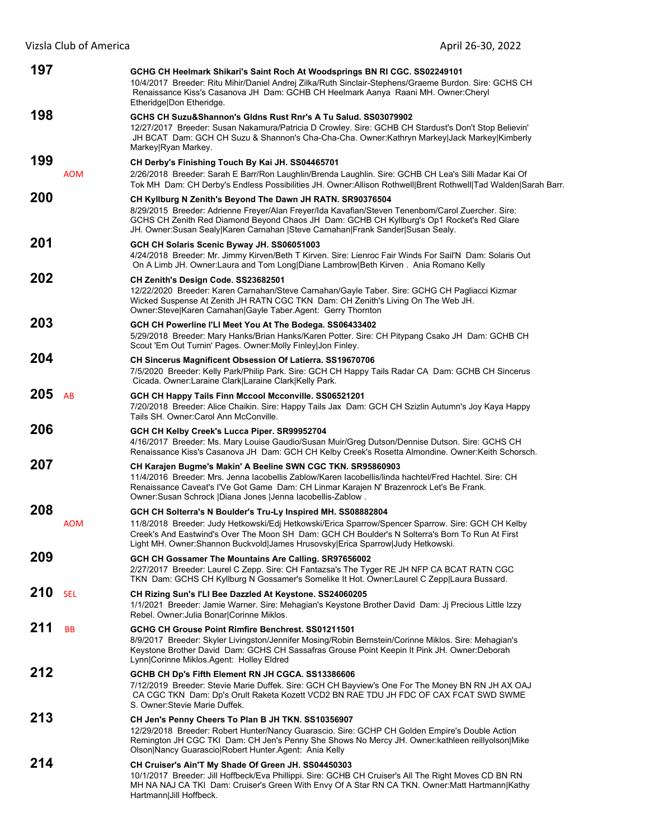| 197 |            | GCHG CH Heelmark Shikari's Saint Roch At Woodsprings BN RI CGC. SS02249101<br>10/4/2017 Breeder: Ritu Mihir/Daniel Andrej Zilka/Ruth Sinclair-Stephens/Graeme Burdon. Sire: GCHS CH<br>Renaissance Kiss's Casanova JH Dam: GCHB CH Heelmark Aanya Raani MH. Owner:Cheryl<br>Etheridge Don Etheridge.                                                   |
|-----|------------|--------------------------------------------------------------------------------------------------------------------------------------------------------------------------------------------------------------------------------------------------------------------------------------------------------------------------------------------------------|
| 198 |            | GCHS CH Suzu&Shannon's Gldns Rust Rnr's A Tu Salud, SS03079902<br>12/27/2017 Breeder: Susan Nakamura/Patricia D Crowley. Sire: GCHB CH Stardust's Don't Stop Believin'<br>JH BCAT Dam: GCH CH Suzu & Shannon's Cha-Cha-Cha. Owner:Kathryn Markey Jack Markey Kimberly<br>Markey Ryan Markey.                                                           |
| 199 | <b>AOM</b> | CH Derby's Finishing Touch By Kai JH. SS04465701<br>2/26/2018 Breeder: Sarah E Barr/Ron Laughlin/Brenda Laughlin. Sire: GCHB CH Lea's Silli Madar Kai Of<br>Tok MH Dam: CH Derby's Endless Possibilities JH. Owner:Allison Rothwell Brent Rothwell Tad Walden Sarah Barr.                                                                              |
| 200 |            | CH Kyllburg N Zenith's Beyond The Dawn JH RATN. SR90376504<br>8/29/2015 Breeder: Adrienne Freyer/Alan Freyer/Ida Kavafian/Steven Tenenbom/Carol Zuercher. Sire:<br>GCHS CH Zenith Red Diamond Beyond Chaos JH Dam: GCHB CH Kyllburg's Op1 Rocket's Red Glare<br>JH. Owner:Susan Sealy Karen Carnahan  Steve Carnahan Frank Sander Susan Sealy.         |
| 201 |            | GCH CH Solaris Scenic Byway JH. SS06051003<br>4/24/2018 Breeder: Mr. Jimmy Kirven/Beth T Kirven. Sire: Lienroc Fair Winds For Sail'N Dam: Solaris Out<br>On A Limb JH. Owner:Laura and Tom Long Diane Lambrow Beth Kirven. Ania Romano Kelly                                                                                                           |
| 202 |            | CH Zenith's Design Code. SS23682501<br>12/22/2020 Breeder: Karen Carnahan/Steve Carnahan/Gayle Taber. Sire: GCHG CH Pagliacci Kizmar<br>Wicked Suspense At Zenith JH RATN CGC TKN Dam: CH Zenith's Living On The Web JH.<br>Owner:Steve Karen Carnahan Gayle Taber.Agent: Gerry Thornton                                                               |
| 203 |            | GCH CH Powerline I'LI Meet You At The Bodega. SS06433402<br>5/29/2018 Breeder: Mary Hanks/Brian Hanks/Karen Potter. Sire: CH Pitypang Csako JH Dam: GCHB CH<br>Scout 'Em Out Turnin' Pages. Owner: Molly Finley Jon Finley.                                                                                                                            |
| 204 |            | <b>CH Sincerus Magnificent Obsession Of Latierra. SS19670706</b><br>7/5/2020 Breeder: Kelly Park/Philip Park. Sire: GCH CH Happy Tails Radar CA Dam: GCHB CH Sincerus<br>Cicada. Owner: Laraine Clark   Laraine Clark   Kelly Park.                                                                                                                    |
| 205 | AB         | GCH CH Happy Tails Finn Mccool Mcconville. SS06521201<br>7/20/2018 Breeder: Alice Chaikin. Sire: Happy Tails Jax Dam: GCH CH Szizlin Autumn's Joy Kaya Happy<br>Tails SH. Owner:Carol Ann McConville.                                                                                                                                                  |
| 206 |            | GCH CH Kelby Creek's Lucca Piper. SR99952704<br>4/16/2017 Breeder: Ms. Mary Louise Gaudio/Susan Muir/Greg Dutson/Dennise Dutson. Sire: GCHS CH<br>Renaissance Kiss's Casanova JH Dam: GCH CH Kelby Creek's Rosetta Almondine. Owner: Keith Schorsch.                                                                                                   |
| 207 |            | CH Karajen Bugme's Makin' A Beeline SWN CGC TKN. SR95860903<br>11/4/2016 Breeder: Mrs. Jenna lacobellis Zablow/Karen lacobellis/linda hachtel/Fred Hachtel. Sire: CH<br>Renaissance Caveat's I'Ve Got Game Dam: CH Linmar Karajen N' Brazenrock Let's Be Frank.<br>Owner:Susan Schrock   Diana Jones   Jenna lacobellis-Zablow .                       |
| 208 | AOM        | GCH CH Solterra's N Boulder's Tru-Ly Inspired MH. SS08882804<br>11/8/2018 Breeder: Judy Hetkowski/Edj Hetkowski/Erica Sparrow/Spencer Sparrow. Sire: GCH CH Kelby<br>Creek's And Eastwind's Over The Moon SH Dam: GCH CH Boulder's N Solterra's Born To Run At First<br>Light MH. Owner:Shannon Buckvold James Hrusovsky Erica Sparrow Judy Hetkowski. |
| 209 |            | GCH CH Gossamer The Mountains Are Calling. SR97656002<br>2/27/2017 Breeder: Laurel C Zepp. Sire: CH Fantazsa's The Tyger RE JH NFP CA BCAT RATN CGC<br>TKN Dam: GCHS CH Kyllburg N Gossamer's Somelike It Hot. Owner:Laurel C Zepp Laura Bussard.                                                                                                      |
| 210 | <b>SEL</b> | CH Rizing Sun's I'Ll Bee Dazzled At Keystone. SS24060205<br>1/1/2021 Breeder: Jamie Warner. Sire: Mehagian's Keystone Brother David Dam: Jj Precious Little Izzy<br>Rebel. Owner: Julia Bonar Corinne Miklos.                                                                                                                                          |
| 211 | <b>BB</b>  | GCHG CH Grouse Point Rimfire Benchrest, SS01211501<br>8/9/2017 Breeder: Skyler Livingston/Jennifer Mosing/Robin Bernstein/Corinne Miklos. Sire: Mehagian's<br>Keystone Brother David Dam: GCHS CH Sassafras Grouse Point Keepin It Pink JH. Owner:Deborah<br>Lynn Corinne Miklos.Agent: Holley Eldred                                                  |
| 212 |            | GCHB CH Dp's Fifth Element RN JH CGCA. SS13386606<br>7/12/2019 Breeder: Stevie Marie Duffek. Sire: GCH CH Bayview's One For The Money BN RN JH AX OAJ<br>CA CGC TKN Dam: Dp's Orult Raketa Kozett VCD2 BN RAE TDU JH FDC OF CAX FCAT SWD SWME<br>S. Owner Stevie Marie Duffek.                                                                         |
| 213 |            | CH Jen's Penny Cheers To Plan B JH TKN. SS10356907<br>12/29/2018 Breeder: Robert Hunter/Nancy Guarascio. Sire: GCHP CH Golden Empire's Double Action<br>Remington JH CGC TKI Dam: CH Jen's Penny She Shows No Mercy JH. Owner: kathleen reillyolson Mike<br>Olson Nancy Guarascio Robert Hunter.Agent: Ania Kelly                                      |
| 214 |            | CH Cruiser's Ain'T My Shade Of Green JH. SS04450303<br>10/1/2017 Breeder: Jill Hoffbeck/Eva Phillippi. Sire: GCHB CH Cruiser's All The Right Moves CD BN RN<br>MH NA NAJ CA TKI Dam: Cruiser's Green With Envy Of A Star RN CA TKN. Owner:Matt Hartmann Kathy<br>Hartmann Jill Hoffbeck.                                                               |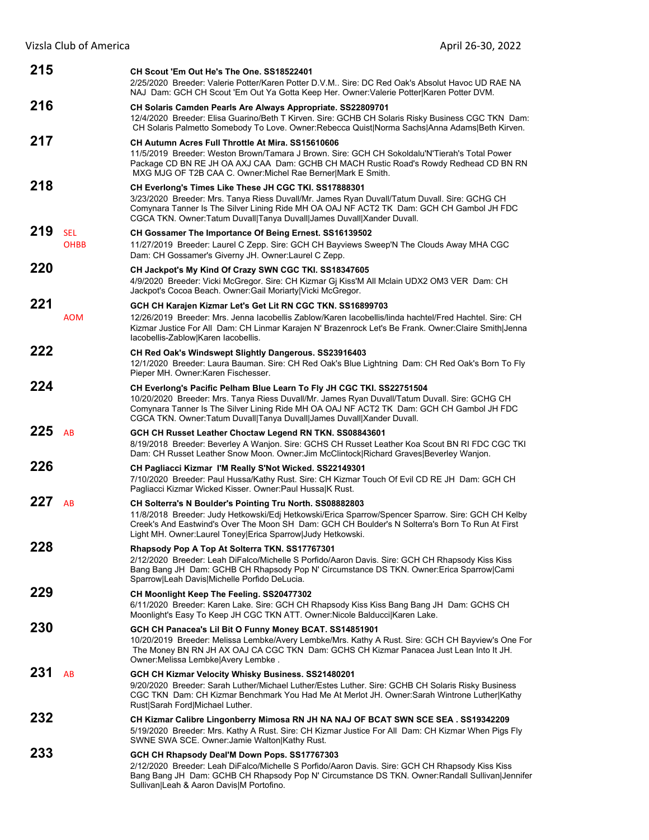| 215 |                           | CH Scout 'Em Out He's The One. SS18522401<br>2/25/2020 Breeder: Valerie Potter/Karen Potter D.V.M., Sire: DC Red Oak's Absolut Havoc UD RAE NA<br>NAJ Dam: GCH CH Scout 'Em Out Ya Gotta Keep Her. Owner: Valerie Potter Karen Potter DVM.                                                                                                   |
|-----|---------------------------|----------------------------------------------------------------------------------------------------------------------------------------------------------------------------------------------------------------------------------------------------------------------------------------------------------------------------------------------|
| 216 |                           | CH Solaris Camden Pearls Are Always Appropriate. SS22809701<br>12/4/2020 Breeder: Elisa Guarino/Beth T Kirven. Sire: GCHB CH Solaris Risky Business CGC TKN Dam:<br>CH Solaris Palmetto Somebody To Love. Owner: Rebecca Quist Norma Sachs Anna Adams   Beth Kirven.                                                                         |
| 217 |                           | CH Autumn Acres Full Throttle At Mira, SS15610606<br>11/5/2019 Breeder: Weston Brown/Tamara J Brown. Sire: GCH CH Sokoldalu'N'Tierah's Total Power<br>Package CD BN RE JH OA AXJ CAA Dam: GCHB CH MACH Rustic Road's Rowdy Redhead CD BN RN<br>MXG MJG OF T2B CAA C. Owner: Michel Rae Berner Mark E Smith.                                  |
| 218 |                           | CH Everlong's Times Like These JH CGC TKI. SS17888301<br>3/23/2020 Breeder: Mrs. Tanya Riess Duvall/Mr. James Ryan Duvall/Tatum Duvall. Sire: GCHG CH<br>Comynara Tanner Is The Silver Lining Ride MH OA OAJ NF ACT2 TK Dam: GCH CH Gambol JH FDC<br>CGCA TKN. Owner: Tatum Duvall Tanya Duvall James Duvall Xander Duvall.                  |
| 219 | <b>SEL</b><br><b>OHBB</b> | CH Gossamer The Importance Of Being Ernest. SS16139502<br>11/27/2019 Breeder: Laurel C Zepp. Sire: GCH CH Bayviews Sweep'N The Clouds Away MHA CGC<br>Dam: CH Gossamer's Giverny JH. Owner: Laurel C Zepp.                                                                                                                                   |
| 220 |                           | CH Jackpot's My Kind Of Crazy SWN CGC TKI. SS18347605<br>4/9/2020 Breeder: Vicki McGregor. Sire: CH Kizmar Gj Kiss'M All Mclain UDX2 OM3 VER Dam: CH<br>Jackpot's Cocoa Beach. Owner: Gail Moriarty Vicki McGregor.                                                                                                                          |
| 221 |                           | GCH CH Karajen Kizmar Let's Get Lit RN CGC TKN. SS16899703                                                                                                                                                                                                                                                                                   |
|     | <b>AOM</b>                | 12/26/2019 Breeder: Mrs. Jenna lacobellis Zablow/Karen lacobellis/linda hachtel/Fred Hachtel. Sire: CH<br>Kizmar Justice For All Dam: CH Linmar Karajen N' Brazenrock Let's Be Frank. Owner: Claire Smith Jenna<br>lacobellis-Zablow Karen lacobellis.                                                                                       |
| 222 |                           | CH Red Oak's Windswept Slightly Dangerous. SS23916403<br>12/1/2020 Breeder: Laura Bauman. Sire: CH Red Oak's Blue Lightning Dam: CH Red Oak's Born To Fly<br>Pieper MH. Owner: Karen Fischesser.                                                                                                                                             |
| 224 |                           | CH Everlong's Pacific Pelham Blue Learn To Fly JH CGC TKI. SS22751504<br>10/20/2020 Breeder: Mrs. Tanya Riess Duvall/Mr. James Ryan Duvall/Tatum Duvall. Sire: GCHG CH<br>Comynara Tanner Is The Silver Lining Ride MH OA OAJ NF ACT2 TK Dam: GCH CH Gambol JH FDC<br>CGCA TKN. Owner: Tatum Duvall Tanya Duvall James Duvall Xander Duvall. |
| 225 | AB                        | GCH CH Russet Leather Choctaw Legend RN TKN. SS08843601<br>8/19/2018 Breeder: Beverley A Wanjon. Sire: GCHS CH Russet Leather Koa Scout BN RI FDC CGC TKI<br>Dam: CH Russet Leather Snow Moon. Owner: Jim McClintock Richard Graves Beverley Wanjon.                                                                                         |
| 226 |                           | CH Pagliacci Kizmar I'M Really S'Not Wicked. SS22149301<br>7/10/2020 Breeder: Paul Hussa/Kathy Rust. Sire: CH Kizmar Touch Of Evil CD RE JH Dam: GCH CH<br>Pagliacci Kizmar Wicked Kisser. Owner:Paul Hussa K Rust.                                                                                                                          |
| 227 | AB                        | CH Solterra's N Boulder's Pointing Tru North. SS08882803<br>11/8/2018 Breeder: Judy Hetkowski/Edj Hetkowski/Erica Sparrow/Spencer Sparrow. Sire: GCH CH Kelby<br>Creek's And Eastwind's Over The Moon SH Dam: GCH CH Boulder's N Solterra's Born To Run At First<br>Light MH. Owner:Laurel Toney Erica Sparrow Judy Hetkowski.               |
| 228 |                           | Rhapsody Pop A Top At Solterra TKN. SS17767301<br>2/12/2020 Breeder: Leah DiFalco/Michelle S Porfido/Aaron Davis, Sire: GCH CH Rhapsody Kiss Kiss<br>Bang Bang JH Dam: GCHB CH Rhapsody Pop N' Circumstance DS TKN. Owner: Erica Sparrow Cami<br>Sparrow Leah Davis Michelle Porfido DeLucia.                                                |
| 229 |                           | CH Moonlight Keep The Feeling. SS20477302<br>6/11/2020 Breeder: Karen Lake. Sire: GCH CH Rhapsody Kiss Kiss Bang Bang JH Dam: GCHS CH<br>Moonlight's Easy To Keep JH CGC TKN ATT. Owner: Nicole Balducci Karen Lake.                                                                                                                         |
| 230 |                           | GCH CH Panacea's Lil Bit O Funny Money BCAT. SS14851901<br>10/20/2019 Breeder: Melissa Lembke/Avery Lembke/Mrs. Kathy A Rust. Sire: GCH CH Bayview's One For<br>The Money BN RN JH AX OAJ CA CGC TKN Dam: GCHS CH Kizmar Panacea Just Lean Into It JH.<br>Owner: Melissa Lembke Avery Lembke.                                                |
| 231 | AB                        | GCH CH Kizmar Velocity Whisky Business. SS21480201<br>9/20/2020 Breeder: Sarah Luther/Michael Luther/Estes Luther. Sire: GCHB CH Solaris Risky Business<br>CGC TKN Dam: CH Kizmar Benchmark You Had Me At Merlot JH. Owner:Sarah Wintrone Luther Kathy<br>Rust Sarah Ford Michael Luther.                                                    |
| 232 |                           | CH Kizmar Calibre Lingonberry Mimosa RN JH NA NAJ OF BCAT SWN SCE SEA . SS19342209<br>5/19/2020 Breeder: Mrs. Kathy A Rust. Sire: CH Kizmar Justice For All Dam: CH Kizmar When Pigs Fly<br>SWNE SWA SCE. Owner: Jamie Walton Kathy Rust.                                                                                                    |
| 233 |                           | GCH CH Rhapsody Deal'M Down Pops. SS17767303<br>2/12/2020 Breeder: Leah DiFalco/Michelle S Porfido/Aaron Davis. Sire: GCH CH Rhapsody Kiss Kiss<br>Bang Bang JH Dam: GCHB CH Rhapsody Pop N' Circumstance DS TKN. Owner: Randall Sullivan Jennifer<br>Sullivan Leah & Aaron Davis M Portofino.                                               |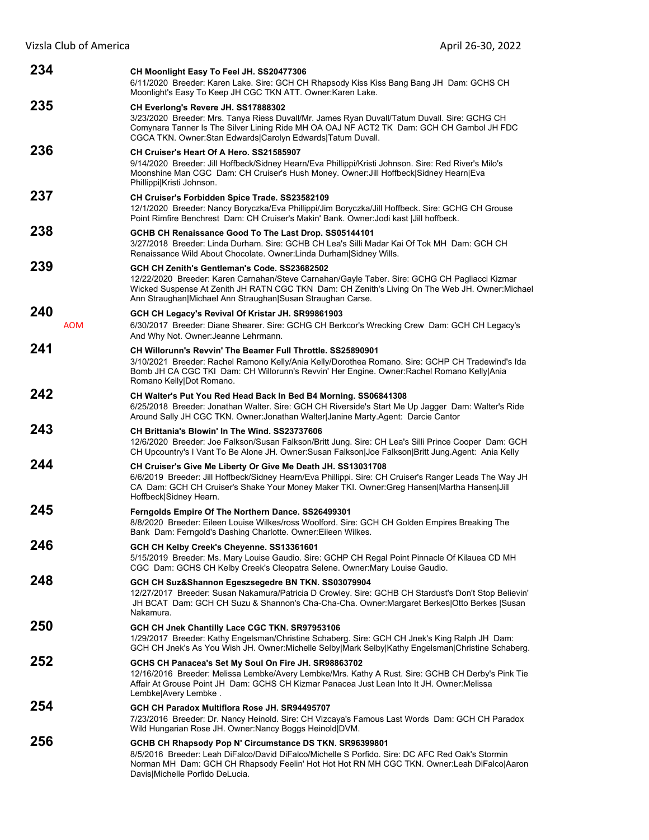| 234               | CH Moonlight Easy To Feel JH. SS20477306<br>6/11/2020 Breeder: Karen Lake. Sire: GCH CH Rhapsody Kiss Kiss Bang Bang JH Dam: GCHS CH<br>Moonlight's Easy To Keep JH CGC TKN ATT. Owner: Karen Lake.                                                                                                            |
|-------------------|----------------------------------------------------------------------------------------------------------------------------------------------------------------------------------------------------------------------------------------------------------------------------------------------------------------|
| 235               | CH Everlong's Revere JH. SS17888302<br>3/23/2020 Breeder: Mrs. Tanya Riess Duvall/Mr. James Ryan Duvall/Tatum Duvall. Sire: GCHG CH<br>Comynara Tanner Is The Silver Lining Ride MH OA OAJ NF ACT2 TK Dam: GCH CH Gambol JH FDC<br>CGCA TKN. Owner: Stan Edwards Carolyn Edwards Tatum Duvall.                 |
| 236               | CH Cruiser's Heart Of A Hero, SS21585907<br>9/14/2020 Breeder: Jill Hoffbeck/Sidney Hearn/Eva Phillippi/Kristi Johnson. Sire: Red River's Milo's<br>Moonshine Man CGC Dam: CH Cruiser's Hush Money. Owner: Jill Hoffbeck Sidney Hearn Eva<br>Phillippi Kristi Johnson.                                         |
| 237               | <b>CH Cruiser's Forbidden Spice Trade. SS23582109</b><br>12/1/2020 Breeder: Nancy Boryczka/Eva Phillippi/Jim Boryczka/Jill Hoffbeck. Sire: GCHG CH Grouse<br>Point Rimfire Benchrest Dam: CH Cruiser's Makin' Bank. Owner: Jodi kast   Jill hoffbeck.                                                          |
| 238               | GCHB CH Renaissance Good To The Last Drop. SS05144101<br>3/27/2018 Breeder: Linda Durham. Sire: GCHB CH Lea's Silli Madar Kai Of Tok MH Dam: GCH CH<br>Renaissance Wild About Chocolate. Owner: Linda Durham Sidney Wills.                                                                                     |
| 239               | GCH CH Zenith's Gentleman's Code, SS23682502<br>12/22/2020 Breeder: Karen Carnahan/Steve Carnahan/Gayle Taber. Sire: GCHG CH Pagliacci Kizmar<br>Wicked Suspense At Zenith JH RATN CGC TKN Dam: CH Zenith's Living On The Web JH. Owner: Michael<br>Ann Straughan Michael Ann Straughan Susan Straughan Carse. |
| 240<br><b>AOM</b> | GCH CH Legacy's Revival Of Kristar JH. SR99861903<br>6/30/2017 Breeder: Diane Shearer. Sire: GCHG CH Berkcor's Wrecking Crew Dam: GCH CH Legacy's<br>And Why Not. Owner: Jeanne Lehrmann.                                                                                                                      |
| 241               | CH Willorunn's Revvin' The Beamer Full Throttle. SS25890901<br>3/10/2021 Breeder: Rachel Ramono Kelly/Ania Kelly/Dorothea Romano. Sire: GCHP CH Tradewind's Ida<br>Bomb JH CA CGC TKI Dam: CH Willorunn's Revvin' Her Engine. Owner: Rachel Romano Kelly Ania<br>Romano Kelly Dot Romano.                      |
| 242               | CH Walter's Put You Red Head Back In Bed B4 Morning. SS06841308<br>6/25/2018 Breeder: Jonathan Walter. Sire: GCH CH Riverside's Start Me Up Jagger Dam: Walter's Ride<br>Around Sally JH CGC TKN. Owner: Jonathan Walter Janine Marty. Agent: Darcie Cantor                                                    |
| 243               | CH Brittania's Blowin' In The Wind, SS23737606<br>12/6/2020 Breeder: Joe Falkson/Susan Falkson/Britt Jung. Sire: CH Lea's Silli Prince Cooper Dam: GCH<br>CH Upcountry's I Vant To Be Alone JH. Owner:Susan Falkson Joe Falkson Britt Jung.Agent: Ania Kelly                                                   |
| 244               | CH Cruiser's Give Me Liberty Or Give Me Death JH. SS13031708<br>6/6/2019 Breeder: Jill Hoffbeck/Sidney Hearn/Eva Phillippi. Sire: CH Cruiser's Ranger Leads The Way JH<br>CA Dam: GCH CH Cruiser's Shake Your Money Maker TKI. Owner:Greg Hansen Martha Hansen Jill<br>Hoffbeck Sidney Hearn.                  |
| 245               | Ferngolds Empire Of The Northern Dance. SS26499301<br>8/8/2020 Breeder: Eileen Louise Wilkes/ross Woolford. Sire: GCH CH Golden Empires Breaking The<br>Bank Dam: Ferngold's Dashing Charlotte. Owner: Eileen Wilkes.                                                                                          |
| 246               | GCH CH Kelby Creek's Cheyenne. SS13361601<br>5/15/2019 Breeder: Ms. Mary Louise Gaudio. Sire: GCHP CH Regal Point Pinnacle Of Kilauea CD MH<br>CGC Dam: GCHS CH Kelby Creek's Cleopatra Selene. Owner: Mary Louise Gaudio.                                                                                     |
| 248               | GCH CH Suz&Shannon Egeszsegedre BN TKN. SS03079904<br>12/27/2017 Breeder: Susan Nakamura/Patricia D Crowley. Sire: GCHB CH Stardust's Don't Stop Believin'<br>JH BCAT Dam: GCH CH Suzu & Shannon's Cha-Cha-Cha. Owner: Margaret Berkes   Otto Berkes   Susan<br>Nakamura.                                      |
| 250               | GCH CH Jnek Chantilly Lace CGC TKN. SR97953106<br>1/29/2017 Breeder: Kathy Engelsman/Christine Schaberg. Sire: GCH CH Jnek's King Ralph JH Dam:<br>GCH CH Jnek's As You Wish JH. Owner: Michelle Selby Mark Selby Kathy Engelsman Christine Schaberg.                                                          |
| 252               | GCHS CH Panacea's Set My Soul On Fire JH. SR98863702<br>12/16/2016 Breeder: Melissa Lembke/Avery Lembke/Mrs. Kathy A Rust. Sire: GCHB CH Derby's Pink Tie<br>Affair At Grouse Point JH Dam: GCHS CH Kizmar Panacea Just Lean Into It JH. Owner: Melissa<br>Lembke Avery Lembke.                                |
| 254               | GCH CH Paradox Multiflora Rose JH. SR94495707<br>7/23/2016 Breeder: Dr. Nancy Heinold. Sire: CH Vizcaya's Famous Last Words Dam: GCH CH Paradox<br>Wild Hungarian Rose JH. Owner: Nancy Boggs Heinold DVM.                                                                                                     |
| 256               | GCHB CH Rhapsody Pop N' Circumstance DS TKN. SR96399801<br>8/5/2016 Breeder: Leah DiFalco/David DiFalco/Michelle S Porfido. Sire: DC AFC Red Oak's Stormin<br>Norman MH Dam: GCH CH Rhapsody Feelin' Hot Hot Hot RN MH CGC TKN. Owner:Leah DiFalco Aaron<br>Davis Michelle Porfido DeLucia.                    |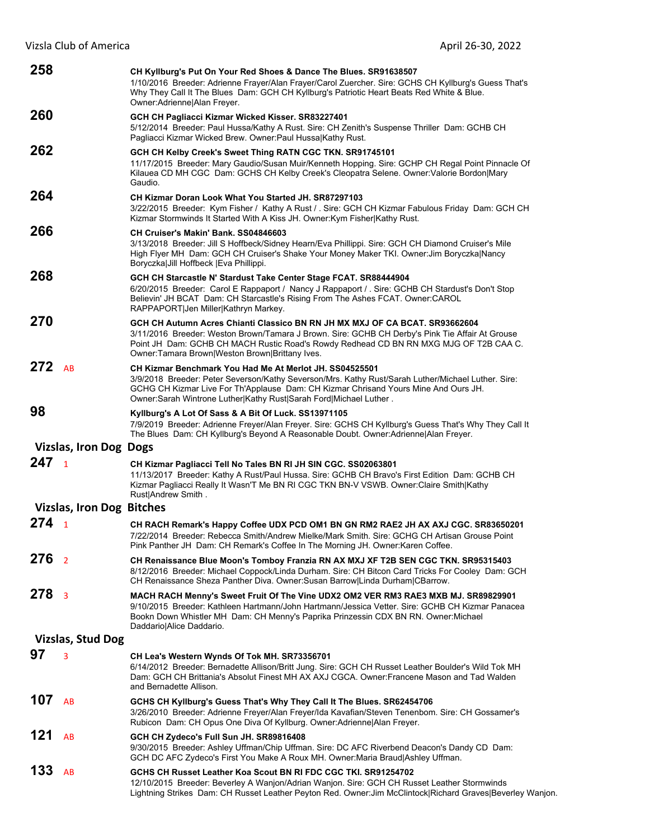| 258                           |                                  | CH Kyllburg's Put On Your Red Shoes & Dance The Blues. SR91638507<br>1/10/2016 Breeder: Adrienne Frayer/Alan Frayer/Carol Zuercher. Sire: GCHS CH Kyllburg's Guess That's<br>Why They Call It The Blues Dam: GCH CH Kyllburg's Patriotic Heart Beats Red White & Blue.<br>Owner: Adrienne   Alan Freyer.                   |
|-------------------------------|----------------------------------|----------------------------------------------------------------------------------------------------------------------------------------------------------------------------------------------------------------------------------------------------------------------------------------------------------------------------|
| 260                           |                                  | GCH CH Pagliacci Kizmar Wicked Kisser. SR83227401<br>5/12/2014 Breeder: Paul Hussa/Kathy A Rust. Sire: CH Zenith's Suspense Thriller Dam: GCHB CH<br>Pagliacci Kizmar Wicked Brew. Owner:Paul HussalKathy Rust.                                                                                                            |
| 262                           |                                  | GCH CH Kelby Creek's Sweet Thing RATN CGC TKN. SR91745101<br>11/17/2015 Breeder: Mary Gaudio/Susan Muir/Kenneth Hopping. Sire: GCHP CH Regal Point Pinnacle Of<br>Kilauea CD MH CGC Dam: GCHS CH Kelby Creek's Cleopatra Selene. Owner: Valorie Bordon Mary<br>Gaudio.                                                     |
| 264                           |                                  | CH Kizmar Doran Look What You Started JH. SR87297103<br>3/22/2015 Breeder: Kym Fisher / Kathy A Rust / . Sire: GCH CH Kizmar Fabulous Friday Dam: GCH CH<br>Kizmar Stormwinds It Started With A Kiss JH. Owner: Kym Fisher Kathy Rust.                                                                                     |
| 266                           |                                  | CH Cruiser's Makin' Bank, SS04846603<br>3/13/2018 Breeder: Jill S Hoffbeck/Sidney Hearn/Eva Phillippi. Sire: GCH CH Diamond Cruiser's Mile<br>High Flyer MH Dam: GCH CH Cruiser's Shake Your Money Maker TKI. Owner:Jim Boryczka Nancy<br>Boryczka Jill Hoffbeck   Eva Phillippi.                                          |
| 268                           |                                  | GCH CH Starcastle N' Stardust Take Center Stage FCAT. SR88444904<br>6/20/2015 Breeder: Carol E Rappaport / Nancy J Rappaport / Sire: GCHB CH Stardust's Don't Stop<br>Believin' JH BCAT Dam: CH Starcastle's Rising From The Ashes FCAT. Owner:CAROL<br>RAPPAPORT Jen Miller Kathryn Markey.                               |
| 270                           |                                  | GCH CH Autumn Acres Chianti Classico BN RN JH MX MXJ OF CA BCAT. SR93662604<br>3/11/2016 Breeder: Weston Brown/Tamara J Brown. Sire: GCHB CH Derby's Pink Tie Affair At Grouse<br>Point JH Dam: GCHB CH MACH Rustic Road's Rowdy Redhead CD BN RN MXG MJG OF T2B CAA C.<br>Owner: Tamara Brown Weston Brown Brittany Ives. |
| 272                           | AB                               | CH Kizmar Benchmark You Had Me At Merlot JH, SS04525501<br>3/9/2018 Breeder: Peter Severson/Kathy Severson/Mrs. Kathy Rust/Sarah Luther/Michael Luther. Sire:<br>GCHG CH Kizmar Live For Th'Applause Dam: CH Kizmar Chrisand Yours Mine And Ours JH.<br>Owner:Sarah Wintrone Luther Kathy Rust Sarah Ford Michael Luther.  |
| 98                            |                                  | Kyllburg's A Lot Of Sass & A Bit Of Luck. SS13971105<br>7/9/2019 Breeder: Adrienne Freyer/Alan Freyer. Sire: GCHS CH Kyllburg's Guess That's Why They Call It<br>The Blues Dam: CH Kyllburg's Beyond A Reasonable Doubt. Owner: Adrienne Alan Freyer.                                                                      |
| <b>Vizslas, Iron Dog Dogs</b> |                                  |                                                                                                                                                                                                                                                                                                                            |
| 247 <sub>1</sub>              |                                  | CH Kizmar Pagliacci Tell No Tales BN RI JH SIN CGC. SS02063801<br>11/13/2017 Breeder: Kathy A Rust/Paul Hussa. Sire: GCHB CH Bravo's First Edition Dam: GCHB CH<br>Kizmar Pagliacci Really It Wasn'T Me BN RI CGC TKN BN-V VSWB. Owner:Claire Smith Kathy<br>Rust Andrew Smith.                                            |
|                               | <b>Vizslas, Iron Dog Bitches</b> |                                                                                                                                                                                                                                                                                                                            |
| $274_1$                       |                                  | CH RACH Remark's Happy Coffee UDX PCD OM1 BN GN RM2 RAE2 JH AX AXJ CGC. SR83650201<br>7/22/2014 Breeder: Rebecca Smith/Andrew Mielke/Mark Smith. Sire: GCHG CH Artisan Grouse Point<br>Pink Panther JH Dam: CH Remark's Coffee In The Morning JH. Owner: Karen Coffee.                                                     |
| 276                           | $\overline{2}$                   | CH Renaissance Blue Moon's Tomboy Franzia RN AX MXJ XF T2B SEN CGC TKN. SR95315403<br>8/12/2016 Breeder: Michael Coppock/Linda Durham. Sire: CH Bitcon Card Tricks For Cooley Dam: GCH<br>CH Renaissance Sheza Panther Diva. Owner:Susan Barrow Linda Durham CBarrow.                                                      |
| 278                           | $\overline{3}$                   | MACH RACH Menny's Sweet Fruit Of The Vine UDX2 OM2 VER RM3 RAE3 MXB MJ. SR89829901<br>9/10/2015 Breeder: Kathleen Hartmann/John Hartmann/Jessica Vetter. Sire: GCHB CH Kizmar Panacea<br>Bookn Down Whistler MH Dam: CH Menny's Paprika Prinzessin CDX BN RN. Owner:Michael<br>Daddario Alice Daddario.                    |
|                               | <b>Vizslas, Stud Dog</b>         |                                                                                                                                                                                                                                                                                                                            |
| 97                            | 3                                | CH Lea's Western Wynds Of Tok MH. SR73356701<br>6/14/2012 Breeder: Bernadette Allison/Britt Jung. Sire: GCH CH Russet Leather Boulder's Wild Tok MH<br>Dam: GCH CH Brittania's Absolut Finest MH AX AXJ CGCA. Owner: Francene Mason and Tad Walden<br>and Bernadette Allison.                                              |
| 107                           | AB                               | GCHS CH Kyllburg's Guess That's Why They Call It The Blues. SR62454706<br>3/26/2010 Breeder: Adrienne Freyer/Alan Freyer/Ida Kavafian/Steven Tenenbom. Sire: CH Gossamer's<br>Rubicon Dam: CH Opus One Diva Of Kyllburg. Owner: Adrienne   Alan Freyer.                                                                    |
| 121                           | AB                               | GCH CH Zydeco's Full Sun JH. SR89816408<br>9/30/2015 Breeder: Ashley Uffman/Chip Uffman. Sire: DC AFC Riverbend Deacon's Dandy CD Dam:<br>GCH DC AFC Zydeco's First You Make A Roux MH. Owner:Maria Braud Ashley Uffman.                                                                                                   |
| 133                           | AB                               | GCHS CH Russet Leather Koa Scout BN RI FDC CGC TKI. SR91254702<br>12/10/2015 Breeder: Beverley A Wanjon/Adrian Wanjon. Sire: GCH CH Russet Leather Stormwinds<br>Lightning Strikes Dam: CH Russet Leather Peyton Red. Owner: Jim McClintock Richard Graves Beverley Wanjon.                                                |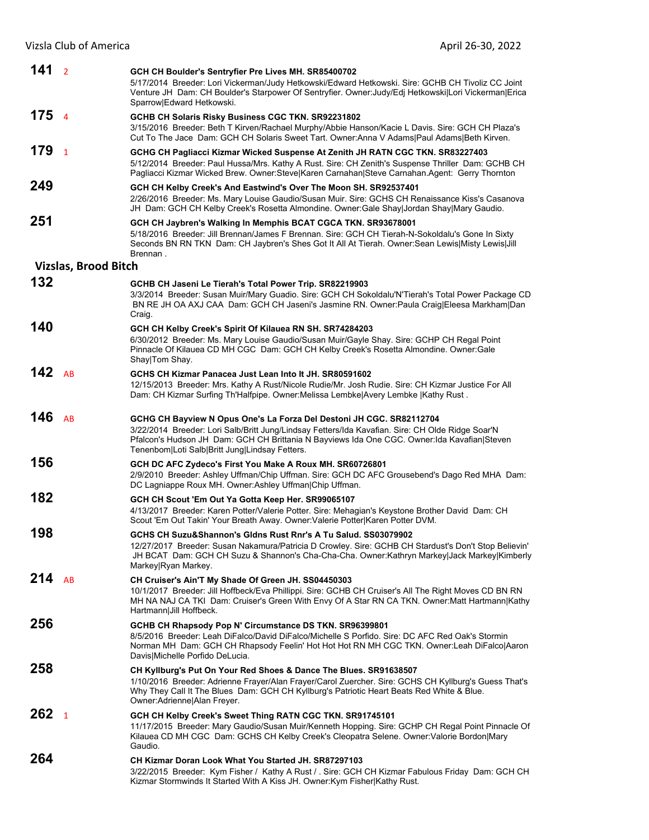| 141              | $\overline{2}$              | GCH CH Boulder's Sentryfier Pre Lives MH. SR85400702<br>5/17/2014 Breeder: Lori Vickerman/Judy Hetkowski/Edward Hetkowski. Sire: GCHB CH Tivoliz CC Joint<br>Venture JH Dam: CH Boulder's Starpower Of Sentryfier. Owner: Judy/Edj Hetkowski Lori Vickerman Erica<br>Sparrow Edward Hetkowski.                             |
|------------------|-----------------------------|----------------------------------------------------------------------------------------------------------------------------------------------------------------------------------------------------------------------------------------------------------------------------------------------------------------------------|
| 175 <sub>4</sub> |                             | GCHB CH Solaris Risky Business CGC TKN. SR92231802<br>3/15/2016 Breeder: Beth T Kirven/Rachael Murphy/Abbie Hanson/Kacie L Davis. Sire: GCH CH Plaza's<br>Cut To The Jace Dam: GCH CH Solaris Sweet Tart. Owner:Anna V Adams Paul Adams Beth Kirven.                                                                       |
| 179              | $\overline{1}$              | GCHG CH Pagliacci Kizmar Wicked Suspense At Zenith JH RATN CGC TKN. SR83227403<br>5/12/2014 Breeder: Paul Hussa/Mrs. Kathy A Rust. Sire: CH Zenith's Suspense Thriller Dam: GCHB CH<br>Pagliacci Kizmar Wicked Brew. Owner:Steve Karen Carnahan Steve Carnahan.Agent: Gerry Thornton                                       |
| 249              |                             | GCH CH Kelby Creek's And Eastwind's Over The Moon SH. SR92537401<br>2/26/2016 Breeder: Ms. Mary Louise Gaudio/Susan Muir. Sire: GCHS CH Renaissance Kiss's Casanova<br>JH Dam: GCH CH Kelby Creek's Rosetta Almondine. Owner: Gale Shay Jordan Shay Mary Gaudio.                                                           |
| 251              |                             | GCH CH Jaybren's Walking In Memphis BCAT CGCA TKN. SR93678001<br>5/18/2016 Breeder: Jill Brennan/James F Brennan. Sire: GCH CH Tierah-N-Sokoldalu's Gone In Sixty<br>Seconds BN RN TKN Dam: CH Jaybren's Shes Got It All At Tierah. Owner: Sean Lewis Misty Lewis Jill<br>Brennan.                                         |
|                  | <b>Vizslas, Brood Bitch</b> |                                                                                                                                                                                                                                                                                                                            |
| 132              |                             | GCHB CH Jaseni Le Tierah's Total Power Trip. SR82219903<br>3/3/2014 Breeder: Susan Muir/Mary Guadio. Sire: GCH CH Sokoldalu'N'Tierah's Total Power Package CD<br>BN RE JH OA AXJ CAA Dam: GCH CH Jaseni's Jasmine RN. Owner:Paula Craig Eleesa Markham Dan<br>Craig.                                                       |
| 140              |                             | GCH CH Kelby Creek's Spirit Of Kilauea RN SH. SR74284203<br>6/30/2012 Breeder: Ms. Mary Louise Gaudio/Susan Muir/Gayle Shay. Sire: GCHP CH Regal Point<br>Pinnacle Of Kilauea CD MH CGC Dam: GCH CH Kelby Creek's Rosetta Almondine. Owner:Gale<br>Shay Tom Shay.                                                          |
| 142              | AB                          | GCHS CH Kizmar Panacea Just Lean Into It JH. SR80591602<br>12/15/2013 Breeder: Mrs. Kathy A Rust/Nicole Rudie/Mr. Josh Rudie. Sire: CH Kizmar Justice For All<br>Dam: CH Kizmar Surfing Th'Halfpipe. Owner: Melissa Lembke Avery Lembke  Kathy Rust.                                                                       |
| 146              | AB                          | GCHG CH Bayview N Opus One's La Forza Del Destoni JH CGC. SR82112704<br>3/22/2014 Breeder: Lori Salb/Britt Jung/Lindsay Fetters/Ida Kavafian. Sire: CH Olde Ridge Soar'N<br>Pfalcon's Hudson JH Dam: GCH CH Brittania N Bayviews Ida One CGC. Owner: Ida Kavafian Steven<br>Tenenbom Loti Salb Britt Jung Lindsay Fetters. |
| 156              |                             | GCH DC AFC Zydeco's First You Make A Roux MH. SR60726801<br>2/9/2010 Breeder: Ashley Uffman/Chip Uffman. Sire: GCH DC AFC Grousebend's Dago Red MHA Dam:<br>DC Lagniappe Roux MH. Owner:Ashley Uffman Chip Uffman.                                                                                                         |
| 182              |                             | GCH CH Scout 'Em Out Ya Gotta Keep Her. SR99065107<br>4/13/2017 Breeder: Karen Potter/Valerie Potter. Sire: Mehagian's Keystone Brother David Dam: CH<br>Scout 'Em Out Takin' Your Breath Away. Owner: Valerie Potter Karen Potter DVM.                                                                                    |
| 198              |                             | GCHS CH Suzu&Shannon's Gldns Rust Rnr's A Tu Salud, SS03079902<br>12/27/2017 Breeder: Susan Nakamura/Patricia D Crowley. Sire: GCHB CH Stardust's Don't Stop Believin'<br>JH BCAT Dam: GCH CH Suzu & Shannon's Cha-Cha-Cha. Owner:Kathryn Markey Jack Markey Kimberly<br>Markey Ryan Markey.                               |
| 214              | AB                          | CH Cruiser's Ain'T My Shade Of Green JH. SS04450303<br>10/1/2017 Breeder: Jill Hoffbeck/Eva Phillippi. Sire: GCHB CH Cruiser's All The Right Moves CD BN RN<br>MH NA NAJ CA TKI Dam: Cruiser's Green With Envy Of A Star RN CA TKN. Owner: Matt Hartmann Kathy<br>Hartmann Jill Hoffbeck.                                  |
| 256              |                             | GCHB CH Rhapsody Pop N' Circumstance DS TKN. SR96399801<br>8/5/2016 Breeder: Leah DiFalco/David DiFalco/Michelle S Porfido. Sire: DC AFC Red Oak's Stormin<br>Norman MH Dam: GCH CH Rhapsody Feelin' Hot Hot Hot RN MH CGC TKN. Owner:Leah DiFalco Aaron<br>Davis Michelle Porfido DeLucia.                                |
| 258              |                             | CH Kyllburg's Put On Your Red Shoes & Dance The Blues. SR91638507<br>1/10/2016 Breeder: Adrienne Frayer/Alan Frayer/Carol Zuercher. Sire: GCHS CH Kyllburg's Guess That's<br>Why They Call It The Blues Dam: GCH CH Kyllburg's Patriotic Heart Beats Red White & Blue.<br>Owner: Adrienne   Alan Freyer.                   |
| 262              | $\mathbf{1}$                | GCH CH Kelby Creek's Sweet Thing RATN CGC TKN. SR91745101<br>11/17/2015 Breeder: Mary Gaudio/Susan Muir/Kenneth Hopping. Sire: GCHP CH Regal Point Pinnacle Of<br>Kilauea CD MH CGC Dam: GCHS CH Kelby Creek's Cleopatra Selene. Owner: Valorie Bordon Mary<br>Gaudio.                                                     |
| 264              |                             | CH Kizmar Doran Look What You Started JH, SR87297103<br>3/22/2015 Breeder: Kym Fisher / Kathy A Rust / . Sire: GCH CH Kizmar Fabulous Friday Dam: GCH CH<br>Kizmar Stormwinds It Started With A Kiss JH. Owner: Kym Fisher Kathy Rust.                                                                                     |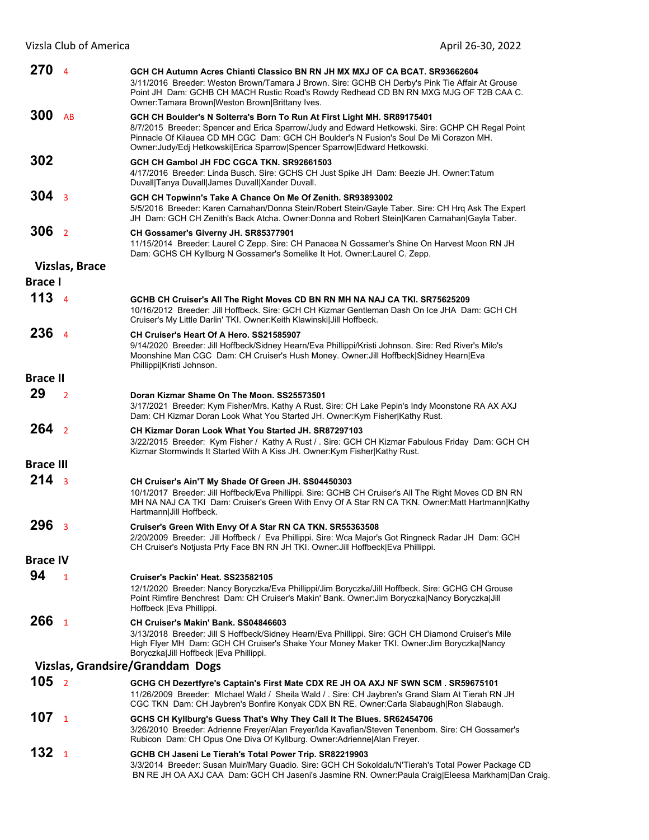| 270              | $\overline{4}$          | GCH CH Autumn Acres Chianti Classico BN RN JH MX MXJ OF CA BCAT. SR93662604<br>3/11/2016 Breeder: Weston Brown/Tamara J Brown. Sire: GCHB CH Derby's Pink Tie Affair At Grouse<br>Point JH Dam: GCHB CH MACH Rustic Road's Rowdy Redhead CD BN RN MXG MJG OF T2B CAA C.<br>Owner: Tamara Brown Weston Brown Brittany Ives.                        |
|------------------|-------------------------|---------------------------------------------------------------------------------------------------------------------------------------------------------------------------------------------------------------------------------------------------------------------------------------------------------------------------------------------------|
| 300              | AB                      | GCH CH Boulder's N Solterra's Born To Run At First Light MH. SR89175401<br>8/7/2015 Breeder: Spencer and Erica Sparrow/Judy and Edward Hetkowski. Sire: GCHP CH Regal Point<br>Pinnacle Of Kilauea CD MH CGC Dam: GCH CH Boulder's N Fusion's Soul De Mi Corazon MH.<br>Owner: Judy/Edj Hetkowski Erica Sparrow Spencer Sparrow Edward Hetkowski. |
| 302              |                         | GCH CH Gambol JH FDC CGCA TKN, SR92661503<br>4/17/2016 Breeder: Linda Busch. Sire: GCHS CH Just Spike JH Dam: Beezie JH. Owner:Tatum<br>Duvall Tanya Duvall James Duvall Xander Duvall.                                                                                                                                                           |
| 304              | $\overline{\mathbf{3}}$ | GCH CH Topwinn's Take A Chance On Me Of Zenith. SR93893002<br>5/5/2016 Breeder: Karen Carnahan/Donna Stein/Robert Stein/Gayle Taber. Sire: CH Hrq Ask The Expert<br>JH Dam: GCH CH Zenith's Back Atcha. Owner:Donna and Robert Stein Karen Carnahan Gayla Taber.                                                                                  |
| 306              | $\overline{2}$          | CH Gossamer's Giverny JH. SR85377901<br>11/15/2014 Breeder: Laurel C Zepp. Sire: CH Panacea N Gossamer's Shine On Harvest Moon RN JH<br>Dam: GCHS CH Kyllburg N Gossamer's Somelike It Hot. Owner: Laurel C. Zepp.                                                                                                                                |
|                  | <b>Vizslas, Brace</b>   |                                                                                                                                                                                                                                                                                                                                                   |
| <b>Brace I</b>   |                         |                                                                                                                                                                                                                                                                                                                                                   |
| 113 <sub>4</sub> |                         | GCHB CH Cruiser's All The Right Moves CD BN RN MH NA NAJ CA TKI. SR75625209<br>10/16/2012 Breeder: Jill Hoffbeck. Sire: GCH CH Kizmar Gentleman Dash On Ice JHA Dam: GCH CH<br>Cruiser's My Little Darlin' TKI. Owner: Keith Klawinskil Jill Hoffbeck.                                                                                            |
| 236              | $\overline{4}$          | CH Cruiser's Heart Of A Hero, SS21585907<br>9/14/2020 Breeder: Jill Hoffbeck/Sidney Hearn/Eva Phillippi/Kristi Johnson. Sire: Red River's Milo's<br>Moonshine Man CGC Dam: CH Cruiser's Hush Money. Owner: Jill Hoffbeck Sidney Hearn Eva<br>Phillippi Kristi Johnson.                                                                            |
| <b>Brace II</b>  |                         |                                                                                                                                                                                                                                                                                                                                                   |
| 29               | $\overline{2}$          | Doran Kizmar Shame On The Moon, SS25573501<br>3/17/2021 Breeder: Kym Fisher/Mrs. Kathy A Rust. Sire: CH Lake Pepin's Indy Moonstone RA AX AXJ<br>Dam: CH Kizmar Doran Look What You Started JH. Owner:Kym Fisher Kathy Rust.                                                                                                                      |
| $264 \t2$        |                         | CH Kizmar Doran Look What You Started JH, SR87297103<br>3/22/2015 Breeder: Kym Fisher / Kathy A Rust / . Sire: GCH CH Kizmar Fabulous Friday Dam: GCH CH<br>Kizmar Stormwinds It Started With A Kiss JH. Owner: Kym Fisher Kathy Rust.                                                                                                            |
| <b>Brace III</b> |                         |                                                                                                                                                                                                                                                                                                                                                   |
| 214 <sub>3</sub> |                         | CH Cruiser's Ain'T My Shade Of Green JH. SS04450303<br>10/1/2017 Breeder: Jill Hoffbeck/Eva Phillippi. Sire: GCHB CH Cruiser's All The Right Moves CD BN RN<br>MH NA NAJ CA TKI Dam: Cruiser's Green With Envy Of A Star RN CA TKN. Owner: Matt Hartmann Kathy<br>Hartmann Jill Hoffbeck.                                                         |
| 296              | $\overline{\mathbf{3}}$ | Cruiser's Green With Envy Of A Star RN CA TKN. SR55363508<br>2/20/2009 Breeder: Jill Hoffbeck / Eva Phillippi. Sire: Wca Major's Got Ringneck Radar JH Dam: GCH<br>CH Cruiser's Notjusta Prty Face BN RN JH TKI. Owner: Jill Hoffbeck Eva Phillippi.                                                                                              |
| <b>Brace IV</b>  |                         |                                                                                                                                                                                                                                                                                                                                                   |
| 94               | $\mathbf{1}$            | Cruiser's Packin' Heat. SS23582105<br>12/1/2020 Breeder: Nancy Boryczka/Eva Phillippi/Jim Boryczka/Jill Hoffbeck. Sire: GCHG CH Grouse<br>Point Rimfire Benchrest Dam: CH Cruiser's Makin' Bank. Owner: Jim Boryczka Nancy Boryczka Jill                                                                                                          |
| 266              | $\mathbf{1}$            | Hoffbeck   Eva Phillippi.<br>CH Cruiser's Makin' Bank. SS04846603<br>3/13/2018 Breeder: Jill S Hoffbeck/Sidney Hearn/Eva Phillippi. Sire: GCH CH Diamond Cruiser's Mile<br>High Flyer MH Dam: GCH CH Cruiser's Shake Your Money Maker TKI. Owner: Jim Boryczka Nancy<br>Boryczka Jill Hoffbeck   Eva Phillippi.                                   |
|                  |                         | Vizslas, Grandsire/Granddam Dogs                                                                                                                                                                                                                                                                                                                  |
| 105 <sub>2</sub> |                         | GCHG CH Dezertfyre's Captain's First Mate CDX RE JH OA AXJ NF SWN SCM. SR59675101<br>11/26/2009 Breeder: Michael Wald / Sheila Wald / . Sire: CH Jaybren's Grand Slam At Tierah RN JH<br>CGC TKN Dam: CH Jaybren's Bonfire Konyak CDX BN RE. Owner:Carla Slabaugh Ron Slabaugh.                                                                   |
| 107              | $\mathbf{1}$            | GCHS CH Kyllburg's Guess That's Why They Call It The Blues. SR62454706<br>3/26/2010 Breeder: Adrienne Freyer/Alan Freyer/Ida Kavafian/Steven Tenenbom. Sire: CH Gossamer's<br>Rubicon Dam: CH Opus One Diva Of Kyllburg. Owner: Adrienne   Alan Freyer.                                                                                           |
| 132              | $\mathbf{1}$            | GCHB CH Jaseni Le Tierah's Total Power Trip. SR82219903<br>3/3/2014 Breeder: Susan Muir/Mary Guadio. Sire: GCH CH Sokoldalu'N'Tierah's Total Power Package CD<br>BN RE JH OA AXJ CAA Dam: GCH CH Jaseni's Jasmine RN. Owner:Paula Craig Eleesa Markham Dan Craig.                                                                                 |